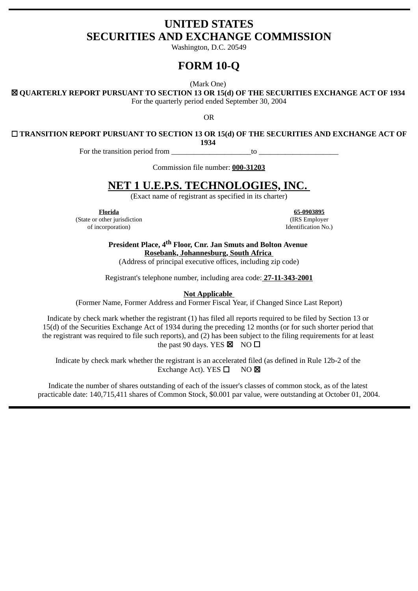# **UNITED STATES SECURITIES AND EXCHANGE COMMISSION**

Washington, D.C. 20549

# **FORM 10-Q**

(Mark One)

☒ **QUARTERLY REPORT PURSUANT TO SECTION 13 OR 15(d) OF THE SECURITIES EXCHANGE ACT OF 1934** 

For the quarterly period ended September 30, 2004

OR

☐ **TRANSITION REPORT PURSUANT TO SECTION 13 OR 15(d) OF THE SECURITIES AND EXCHANGE ACT OF**

**1934** 

For the transition period from  $\Box$  to  $\Box$ 

Commission file number: **000-31203**

# **NET 1 U.E.P.S. TECHNOLOGIES, INC.**

(Exact name of registrant as specified in its charter)

(State or other jurisdiction (IRS Employer of incorporation) (IRS Employer of incorporation)

**Florida 65-0903895** Identification No.)

**President Place, 4th Floor, Cnr. Jan Smuts and Bolton Avenue Rosebank, Johannesburg, South Africa** 

(Address of principal executive offices, including zip code)

Registrant's telephone number, including area code: **27-11-343-2001**

**Not Applicable** 

(Former Name, Former Address and Former Fiscal Year, if Changed Since Last Report)

Indicate by check mark whether the registrant (1) has filed all reports required to be filed by Section 13 or 15(d) of the Securities Exchange Act of 1934 during the preceding 12 months (or for such shorter period that the registrant was required to file such reports), and (2) has been subject to the filing requirements for at least the past 90 days. YES  $\boxtimes$  NO  $\square$ 

Indicate by check mark whether the registrant is an accelerated filed (as defined in Rule 12b-2 of the Exchange Act). YES □ NO ⊠

Indicate the number of shares outstanding of each of the issuer's classes of common stock, as of the latest practicable date: 140,715,411 shares of Common Stock, \$0.001 par value, were outstanding at October 01, 2004.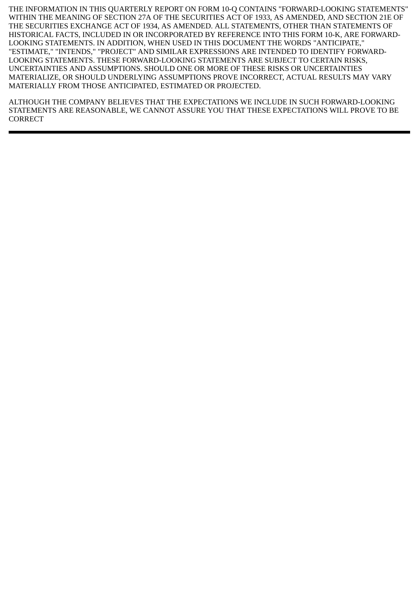THE INFORMATION IN THIS QUARTERLY REPORT ON FORM 10-Q CONTAINS "FORWARD-LOOKING STATEMENTS" WITHIN THE MEANING OF SECTION 27A OF THE SECURITIES ACT OF 1933, AS AMENDED, AND SECTION 21E OF THE SECURITIES EXCHANGE ACT OF 1934, AS AMENDED. ALL STATEMENTS, OTHER THAN STATEMENTS OF HISTORICAL FACTS, INCLUDED IN OR INCORPORATED BY REFERENCE INTO THIS FORM 10-K, ARE FORWARD-LOOKING STATEMENTS. IN ADDITION, WHEN USED IN THIS DOCUMENT THE WORDS "ANTICIPATE," "ESTIMATE," "INTENDS," "PROJECT" AND SIMILAR EXPRESSIONS ARE INTENDED TO IDENTIFY FORWARD-LOOKING STATEMENTS. THESE FORWARD-LOOKING STATEMENTS ARE SUBJECT TO CERTAIN RISKS, UNCERTAINTIES AND ASSUMPTIONS. SHOULD ONE OR MORE OF THESE RISKS OR UNCERTAINTIES MATERIALIZE, OR SHOULD UNDERLYING ASSUMPTIONS PROVE INCORRECT, ACTUAL RESULTS MAY VARY MATERIALLY FROM THOSE ANTICIPATED, ESTIMATED OR PROJECTED.

ALTHOUGH THE COMPANY BELIEVES THAT THE EXPECTATIONS WE INCLUDE IN SUCH FORWARD-LOOKING STATEMENTS ARE REASONABLE, WE CANNOT ASSURE YOU THAT THESE EXPECTATIONS WILL PROVE TO BE **CORRECT**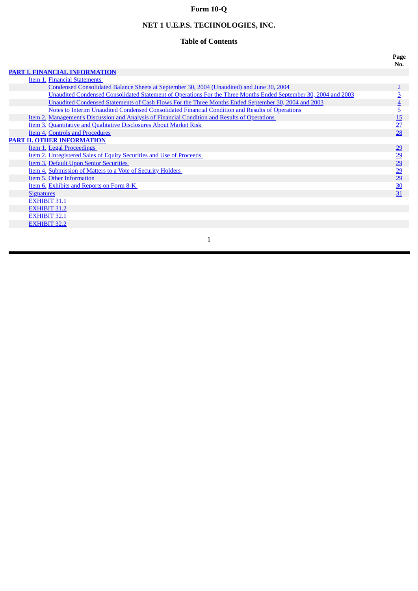# **Form 10-Q**

# **NET 1 U.E.P.S. TECHNOLOGIES, INC.**

# **Table of Contents**

**PART I. FINANCIAL [INFORMATION](#page-3-0)**

| Item 1. Financial Statements                                                                                    |                |
|-----------------------------------------------------------------------------------------------------------------|----------------|
| Condensed Consolidated Balance Sheets at September 30, 2004 (Unaudited) and June 30, 2004                       |                |
| Unaudited Condensed Consolidated Statement of Operations For the Three Months Ended September 30, 2004 and 2003 | <u>3</u>       |
| Unaudited Condensed Statements of Cash Flows For the Three Months Ended September 30, 2004 and 2003             |                |
| Notes to Interim Unaudited Condensed Consolidated Financial Condition and Results of Operations                 | $\overline{5}$ |
| <u>Item 2. Management's Discussion and Analysis of Financial Condition and Results of Operations</u>            | 15             |
| Item 3. Quantitative and Qualitative Disclosures About Market Risk                                              | 27             |
| Item 4. Controls and Procedures                                                                                 | 28             |
| <b>PART II. OTHER INFORMATION</b>                                                                               |                |
| Item 1. Legal Proceedings                                                                                       | 29             |
| Item 2. Unregistered Sales of Equity Securities and Use of Proceeds                                             | 29             |
| <b>Item 3. Default Upon Senior Securities</b>                                                                   | 29             |
| Item 4. Submission of Matters to a Vote of Security Holders                                                     | 29             |
| Item 5. Other Information                                                                                       | 29             |
| Item 6. Exhibits and Reports on Form 8-K                                                                        | 30             |
| <b>Signatures</b>                                                                                               | 31             |
| <b>EXHIBIT 31.1</b>                                                                                             |                |
| <b>EXHIBIT 31.2</b>                                                                                             |                |
| <b>EXHIBIT 32.1</b>                                                                                             |                |
| <b>EXHIBIT 32.2</b>                                                                                             |                |

1

**Page No.**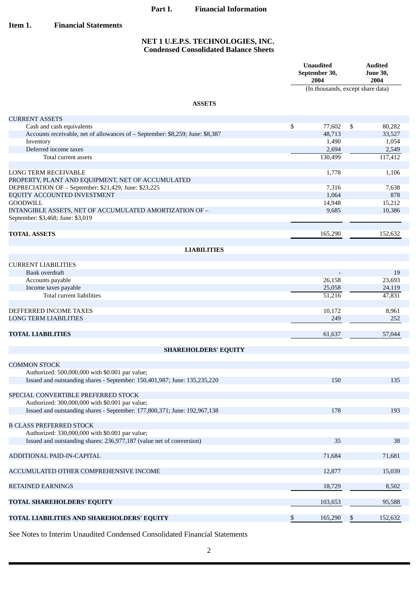# **Part I. Financial Information**

<span id="page-3-0"></span>**Item 1. Financial Statements**

## **NET 1 U.E.P.S. TECHNOLOGIES, INC. Condensed Consolidated Balance Sheets**

|                                                                                              | <b>Unaudited</b><br>September 30,<br>2004 | <b>Audited</b><br><b>June 30,</b><br>2004 |
|----------------------------------------------------------------------------------------------|-------------------------------------------|-------------------------------------------|
|                                                                                              |                                           | (In thousands, except share data)         |
| <b>ASSETS</b>                                                                                |                                           |                                           |
| <b>CURRENT ASSETS</b>                                                                        |                                           |                                           |
| Cash and cash equivalents                                                                    | \$<br>77,602                              | $\mathfrak s$<br>80,282                   |
| Accounts receivable, net of allowances of - September: \$8,259; June: \$8,387                | 48,713                                    | 33,527                                    |
| Inventory<br>Deferred income taxes                                                           | 1,490                                     | 1,054                                     |
| Total current assets                                                                         | 2,694<br>130,499                          | 2,549                                     |
|                                                                                              |                                           | 117,412                                   |
| <b>LONG TERM RECEIVABLE</b><br>PROPERTY, PLANT AND EQUIPMENT, NET OF ACCUMULATED             | 1,778                                     | 1,106                                     |
| DEPRECIATION OF - September: \$21,429; June: \$23,225                                        | 7,316                                     | 7,638                                     |
| EQUITY ACCOUNTED INVESTMENT                                                                  | 1,064                                     | 878                                       |
| <b>GOODWILL</b>                                                                              | 14,948                                    | 15,212                                    |
| INTANGIBLE ASSETS, NET OF ACCUMULATED AMORTIZATION OF -<br>September: \$3,468; June: \$3,019 | 9,685                                     | 10,386                                    |
| <b>TOTAL ASSETS</b>                                                                          | 165,290                                   | 152,632                                   |
| <b>LIABILITIES</b>                                                                           |                                           |                                           |
|                                                                                              |                                           |                                           |
| <b>CURRENT LIABILITIES</b>                                                                   |                                           |                                           |
| Bank overdraft                                                                               |                                           | 19                                        |
| Accounts payable                                                                             | 26,158                                    | 23,693                                    |
| Income taxes payable                                                                         | 25,058                                    | 24,119                                    |
| Total current liabilities                                                                    | 51,216                                    | 47,831                                    |
|                                                                                              |                                           |                                           |
| DEFFERRED INCOME TAXES<br><b>LONG TERM LIABILITIES</b>                                       | 10,172<br>249                             | 8,961<br>252                              |
|                                                                                              |                                           |                                           |
| <b>TOTAL LIABILITIES</b>                                                                     | 61,637                                    | 57,044                                    |
| <b>SHAREHOLDERS' EQUITY</b>                                                                  |                                           |                                           |
|                                                                                              |                                           |                                           |
| <b>COMMON STOCK</b>                                                                          |                                           |                                           |
| Authorized: 500,000,000 with \$0.001 par value;                                              |                                           |                                           |
| Issued and outstanding shares - September: 150,401,987; June: 135,235,220                    | 150                                       | 135                                       |
| SPECIAL CONVERTIBLE PREFERRED STOCK                                                          |                                           |                                           |
| Authorized: 300,000,000 with \$0.001 par value;                                              |                                           |                                           |
| Issued and outstanding shares - September: 177,800,371; June: 192,967,138                    | 178                                       | 193                                       |
|                                                                                              |                                           |                                           |
| <b>B CLASS PREFERRED STOCK</b>                                                               |                                           |                                           |
| Authorized: 330,000,000 with \$0.001 par value;                                              |                                           |                                           |
| Issued and outstanding shares: 236,977,187 (value net of conversion)                         | 35                                        | 38                                        |
| ADDITIONAL PAID-IN-CAPITAL                                                                   | 71,684                                    |                                           |
|                                                                                              |                                           | 71,681                                    |
| ACCUMULATED OTHER COMPREHENSIVE INCOME                                                       | 12,877                                    | 15,039                                    |
| <b>RETAINED EARNINGS</b>                                                                     | 18,729                                    | 8,502                                     |
| TOTAL SHAREHOLDERS' EQUITY                                                                   | 103,653                                   | 95,588                                    |
| TOTAL LIABILITIES AND SHAREHOLDERS' EQUITY                                                   | \$<br>165,290                             | \$<br>152,632                             |

See Notes to Interim Unaudited Condensed Consolidated Financial Statements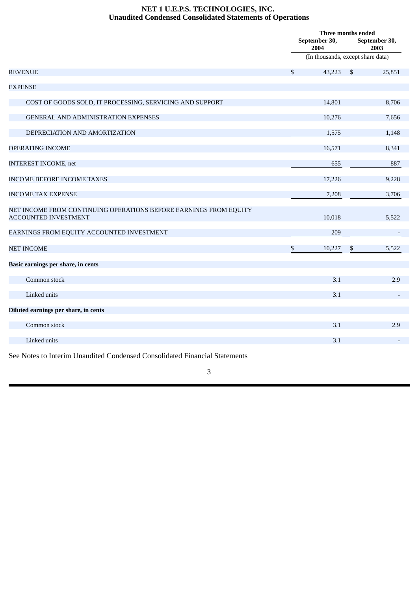## **NET 1 U.E.P.S. TECHNOLOGIES, INC. Unaudited Condensed Consolidated Statements of Operations**

<span id="page-4-0"></span>

|                                                                                                  | Three months ended<br>September 30,<br>2004 |                                   | September 30,<br>2003 |        |
|--------------------------------------------------------------------------------------------------|---------------------------------------------|-----------------------------------|-----------------------|--------|
|                                                                                                  |                                             | (In thousands, except share data) |                       |        |
| <b>REVENUE</b>                                                                                   | \$                                          | 43,223                            | \$                    | 25,851 |
| <b>EXPENSE</b>                                                                                   |                                             |                                   |                       |        |
| COST OF GOODS SOLD, IT PROCESSING, SERVICING AND SUPPORT                                         |                                             | 14,801                            |                       | 8,706  |
| GENERAL AND ADMINISTRATION EXPENSES                                                              |                                             | 10,276                            |                       | 7,656  |
| DEPRECIATION AND AMORTIZATION                                                                    |                                             | 1,575                             |                       | 1,148  |
| OPERATING INCOME                                                                                 |                                             | 16,571                            |                       | 8,341  |
| <b>INTEREST INCOME, net</b>                                                                      |                                             | 655                               |                       | 887    |
| <b>INCOME BEFORE INCOME TAXES</b>                                                                |                                             | 17,226                            |                       | 9,228  |
| <b>INCOME TAX EXPENSE</b>                                                                        |                                             | 7,208                             |                       | 3,706  |
| NET INCOME FROM CONTINUING OPERATIONS BEFORE EARNINGS FROM EQUITY<br><b>ACCOUNTED INVESTMENT</b> |                                             | 10,018                            |                       | 5,522  |
| EARNINGS FROM EQUITY ACCOUNTED INVESTMENT                                                        |                                             | 209                               |                       |        |
| <b>NET INCOME</b>                                                                                | \$                                          | 10,227                            | \$                    | 5,522  |
| Basic earnings per share, in cents                                                               |                                             |                                   |                       |        |
| Common stock                                                                                     |                                             | 3.1                               |                       | 2.9    |
| Linked units                                                                                     |                                             | 3.1                               |                       |        |
| Diluted earnings per share, in cents                                                             |                                             |                                   |                       |        |
| Common stock                                                                                     |                                             | 3.1                               |                       | 2.9    |
| Linked units                                                                                     |                                             | 3.1                               |                       |        |
| See Notes to Interim Unaudited Condensed Consolidated Financial Statements                       |                                             |                                   |                       |        |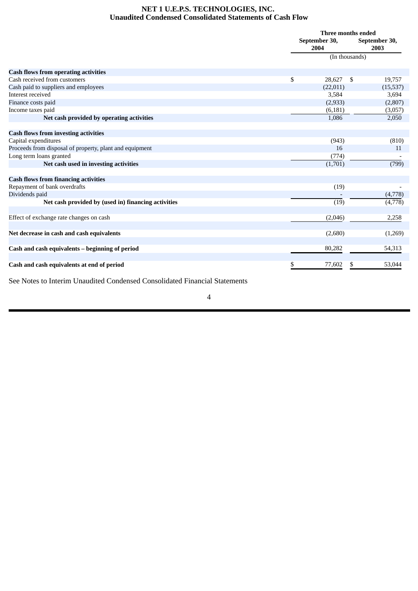## **NET 1 U.E.P.S. TECHNOLOGIES, INC. Unaudited Condensed Consolidated Statements of Cash Flow**

<span id="page-5-0"></span>

|                                                         | Three months ended    |    |                       |  |
|---------------------------------------------------------|-----------------------|----|-----------------------|--|
|                                                         | September 30,<br>2004 |    | September 30,<br>2003 |  |
|                                                         | (In thousands)        |    |                       |  |
| <b>Cash flows from operating activities</b>             |                       |    |                       |  |
| Cash received from customers                            | \$<br>28,627          | \$ | 19,757                |  |
| Cash paid to suppliers and employees                    | (22,011)              |    | (15, 537)             |  |
| Interest received                                       | 3,584                 |    | 3,694                 |  |
| Finance costs paid                                      | (2,933)               |    | (2,807)               |  |
| Income taxes paid                                       | (6, 181)              |    | (3,057)               |  |
| Net cash provided by operating activities               | 1,086                 |    | 2,050                 |  |
| <b>Cash flows from investing activities</b>             |                       |    |                       |  |
| Capital expenditures                                    | (943)                 |    | (810)                 |  |
| Proceeds from disposal of property, plant and equipment | 16                    |    | 11                    |  |
| Long term loans granted                                 | (774)                 |    |                       |  |
| Net cash used in investing activities                   | (1,701)               |    | (799)                 |  |
| <b>Cash flows from financing activities</b>             |                       |    |                       |  |
| Repayment of bank overdrafts                            | (19)                  |    |                       |  |
| Dividends paid                                          |                       |    | (4,778)               |  |
| Net cash provided by (used in) financing activities     | (19)                  |    | (4,778)               |  |
| Effect of exchange rate changes on cash                 | (2,046)               |    | 2,258                 |  |
| Net decrease in cash and cash equivalents               | (2,680)               |    | (1,269)               |  |
| Cash and cash equivalents - beginning of period         | 80,282                |    | 54,313                |  |
| Cash and cash equivalents at end of period              | \$<br>77,602          | \$ | 53,044                |  |

See Notes to Interim Unaudited Condensed Consolidated Financial Statements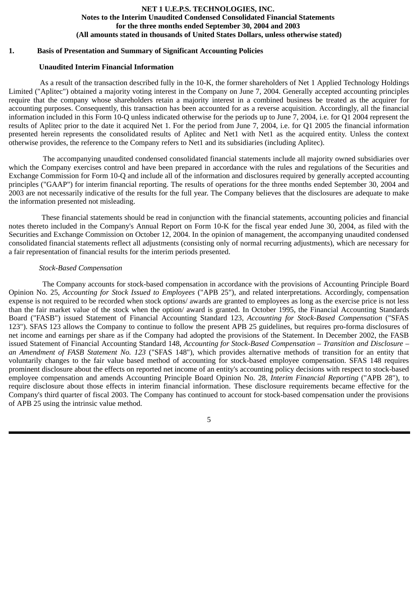#### **NET 1 U.E.P.S. TECHNOLOGIES, INC. Notes to the Interim Unaudited Condensed Consolidated Financial Statements for the three months ended September 30, 2004 and 2003 (All amounts stated in thousands of United States Dollars, unless otherwise stated)**

#### <span id="page-6-0"></span>**1. Basis of Presentation and Summary of Significant Accounting Policies**

#### **Unaudited Interim Financial Information**

As a result of the transaction described fully in the 10-K, the former shareholders of Net 1 Applied Technology Holdings Limited ("Aplitec") obtained a majority voting interest in the Company on June 7, 2004. Generally accepted accounting principles require that the company whose shareholders retain a majority interest in a combined business be treated as the acquirer for accounting purposes. Consequently, this transaction has been accounted for as a reverse acquisition. Accordingly, all the financial information included in this Form 10-Q unless indicated otherwise for the periods up to June 7, 2004, i.e. for Q1 2004 represent the results of Aplitec prior to the date it acquired Net 1. For the period from June 7, 2004, i.e. for Q1 2005 the financial information presented herein represents the consolidated results of Aplitec and Net1 with Net1 as the acquired entity. Unless the context otherwise provides, the reference to the Company refers to Net1 and its subsidiaries (including Aplitec).

The accompanying unaudited condensed consolidated financial statements include all majority owned subsidiaries over which the Company exercises control and have been prepared in accordance with the rules and regulations of the Securities and Exchange Commission for Form 10-Q and include all of the information and disclosures required by generally accepted accounting principles ("GAAP") for interim financial reporting. The results of operations for the three months ended September 30, 2004 and 2003 are not necessarily indicative of the results for the full year. The Company believes that the disclosures are adequate to make the information presented not misleading.

These financial statements should be read in conjunction with the financial statements, accounting policies and financial notes thereto included in the Company's Annual Report on Form 10-K for the fiscal year ended June 30, 2004, as filed with the Securities and Exchange Commission on October 12, 2004. In the opinion of management, the accompanying unaudited condensed consolidated financial statements reflect all adjustments (consisting only of normal recurring adjustments), which are necessary for a fair representation of financial results for the interim periods presented.

#### *Stock-Based Compensation*

The Company accounts for stock-based compensation in accordance with the provisions of Accounting Principle Board Opinion No. 25, *Accounting for Stock Issued to Employees* ("APB 25"), and related interpretations. Accordingly, compensation expense is not required to be recorded when stock options/ awards are granted to employees as long as the exercise price is not less than the fair market value of the stock when the option/ award is granted. In October 1995, the Financial Accounting Standards Board ("FASB") issued Statement of Financial Accounting Standard 123, *Accounting for Stock-Based Compensation* ("SFAS 123"). SFAS 123 allows the Company to continue to follow the present APB 25 guidelines, but requires pro-forma disclosures of net income and earnings per share as if the Company had adopted the provisions of the Statement. In December 2002, the FASB issued Statement of Financial Accounting Standard 148, *Accounting for Stock-Based Compensation – Transition and Disclosure – an Amendment of FASB Statement No. 123* ("SFAS 148"), which provides alternative methods of transition for an entity that voluntarily changes to the fair value based method of accounting for stock-based employee compensation. SFAS 148 requires prominent disclosure about the effects on reported net income of an entity's accounting policy decisions with respect to stock-based employee compensation and amends Accounting Principle Board Opinion No. 28, *Interim Financial Reporting* ("APB 28"), to require disclosure about those effects in interim financial information. These disclosure requirements became effective for the Company's third quarter of fiscal 2003. The Company has continued to account for stock-based compensation under the provisions of APB 25 using the intrinsic value method.

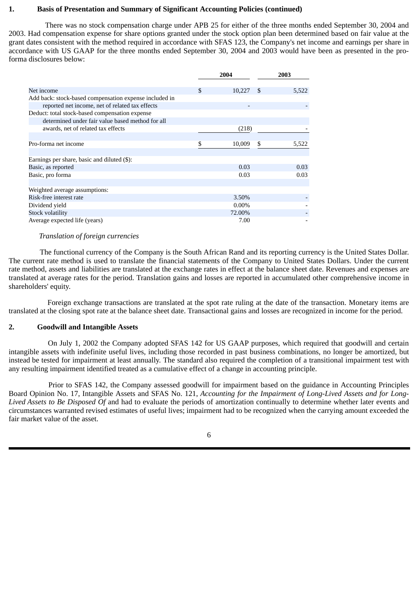### **1. Basis of Presentation and Summary of Significant Accounting Policies (continued)**

There was no stock compensation charge under APB 25 for either of the three months ended September 30, 2004 and 2003. Had compensation expense for share options granted under the stock option plan been determined based on fair value at the grant dates consistent with the method required in accordance with SFAS 123, the Company's net income and earnings per share in accordance with US GAAP for the three months ended September 30, 2004 and 2003 would have been as presented in the proforma disclosures below:

|                                                        | 2004 |          | 2003 |       |
|--------------------------------------------------------|------|----------|------|-------|
| Net income                                             | \$.  | 10,227   | - \$ | 5,522 |
| Add back: stock-based compensation expense included in |      |          |      |       |
| reported net income, net of related tax effects        |      |          |      |       |
| Deduct: total stock-based compensation expense         |      |          |      |       |
| determined under fair value based method for all       |      |          |      |       |
| awards, net of related tax effects                     |      | (218)    |      |       |
|                                                        |      |          |      |       |
| Pro-forma net income                                   | \$   | 10,009   | \$   | 5,522 |
|                                                        |      |          |      |       |
| Earnings per share, basic and diluted (\$):            |      |          |      |       |
| Basic, as reported                                     |      | 0.03     |      | 0.03  |
| Basic, pro forma                                       |      | 0.03     |      | 0.03  |
|                                                        |      |          |      |       |
| Weighted average assumptions:                          |      |          |      |       |
| Risk-free interest rate                                |      | 3.50%    |      |       |
| Dividend yield                                         |      | $0.00\%$ |      |       |
| Stock volatility                                       |      | 72.00%   |      |       |
| Average expected life (years)                          |      | 7.00     |      |       |

#### *Translation of foreign currencies*

The functional currency of the Company is the South African Rand and its reporting currency is the United States Dollar. The current rate method is used to translate the financial statements of the Company to United States Dollars. Under the current rate method, assets and liabilities are translated at the exchange rates in effect at the balance sheet date. Revenues and expenses are translated at average rates for the period. Translation gains and losses are reported in accumulated other comprehensive income in shareholders' equity.

Foreign exchange transactions are translated at the spot rate ruling at the date of the transaction. Monetary items are translated at the closing spot rate at the balance sheet date. Transactional gains and losses are recognized in income for the period.

## **2. Goodwill and Intangible Assets**

On July 1, 2002 the Company adopted SFAS 142 for US GAAP purposes, which required that goodwill and certain intangible assets with indefinite useful lives, including those recorded in past business combinations, no longer be amortized, but instead be tested for impairment at least annually. The standard also required the completion of a transitional impairment test with any resulting impairment identified treated as a cumulative effect of a change in accounting principle.

Prior to SFAS 142, the Company assessed goodwill for impairment based on the guidance in Accounting Principles Board Opinion No. 17, Intangible Assets and SFAS No. 121, *Accounting for the Impairment of Long-Lived Assets and for Long-Lived Assets to Be Disposed Of* and had to evaluate the periods of amortization continually to determine whether later events and circumstances warranted revised estimates of useful lives; impairment had to be recognized when the carrying amount exceeded the fair market value of the asset.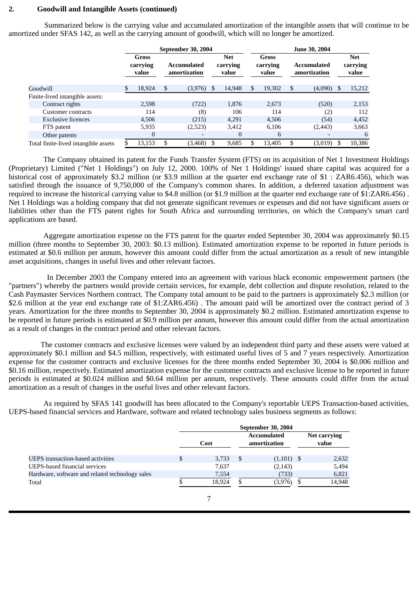## **2. Goodwill and Intangible Assets (continued)**

Summarized below is the carrying value and accumulated amortization of the intangible assets that will continue to be amortized under SFAS 142, as well as the carrying amount of goodwill, which will no longer be amortized.

| <b>Net</b>                         |
|------------------------------------|
| carrying<br>value                  |
| \$                                 |
| 15,212<br>(4,090)                  |
|                                    |
| (520)<br>2,153                     |
| 112<br>$\left( 2\right)$           |
| (54)<br>4,452                      |
| 3,663<br>(2, 443)                  |
| 6                                  |
| 10,386<br>(3,019)<br>\$.           |
| <b>Accumulated</b><br>amortization |

The Company obtained its patent for the Funds Transfer System (FTS) on its acquisition of Net 1 Investment Holdings (Proprietary) Limited ("Net 1 Holdings") on July 12, 2000. 100% of Net 1 Holdings' issued share capital was acquired for a historical cost of approximately \$3.2 million (or \$3.9 million at the quarter end exchange rate of \$1 : ZAR6.456), which was satisfied through the issuance of 9,750,000 of the Company's common shares. In addition, a deferred taxation adjustment was required to increase the historical carrying value to \$4.8 million (or \$1.9 million at the quarter end exchange rate of \$1:ZAR6.456) . Net 1 Holdings was a holding company that did not generate significant revenues or expenses and did not have significant assets or liabilities other than the FTS patent rights for South Africa and surrounding territories, on which the Company's smart card applications are based.

Aggregate amortization expense on the FTS patent for the quarter ended September 30, 2004 was approximately \$0.15 million (three months to September 30, 2003: \$0.13 million). Estimated amortization expense to be reported in future periods is estimated at \$0.6 million per annum, however this amount could differ from the actual amortization as a result of new intangible asset acquisitions, changes in useful lives and other relevant factors.

In December 2003 the Company entered into an agreement with various black economic empowerment partners (the "partners") whereby the partners would provide certain services, for example, debt collection and dispute resolution, related to the Cash Paymaster Services Northern contract. The Company total amount to be paid to the partners is approximately \$2.3 million (or \$2.6 million at the year end exchange rate of \$1:ZAR6.456). The amount paid will be amortized over the contract period of 3 years. Amortization for the three months to September 30, 2004 is approximately \$0.2 million. Estimated amortization expense to be reported in future periods is estimated at \$0.9 million per annum, however this amount could differ from the actual amortization as a result of changes in the contract period and other relevant factors.

The customer contracts and exclusive licenses were valued by an independent third party and these assets were valued at approximately \$0.1 million and \$4.5 million, respectively, with estimated useful lives of 5 and 7 years respectively. Amortization expense for the customer contracts and exclusive licenses for the three months ended September 30, 2004 is \$0.006 million and \$0.16 million, respectively. Estimated amortization expense for the customer contracts and exclusive license to be reported in future periods is estimated at \$0.024 million and \$0.64 million per annum, respectively. These amounts could differ from the actual amortization as a result of changes in the useful lives and other relevant factors.

As required by SFAS 141 goodwill has been allocated to the Company's reportable UEPS Transaction-based activities, UEPS-based financial services and Hardware, software and related technology sales business segments as follows:

|                                                 | September 30, 2004 |        |    |                                    |  |                       |
|-------------------------------------------------|--------------------|--------|----|------------------------------------|--|-----------------------|
|                                                 | Cost               |        |    | <b>Accumulated</b><br>amortization |  | Net carrying<br>value |
| UEPS transaction-based activities               |                    | 3,733  | -8 | $(1,101)$ \$                       |  | 2,632                 |
| UEPS-based financial services                   |                    | 7,637  |    | (2, 143)                           |  | 5,494                 |
| Hardware, software and related technology sales |                    | 7,554  |    | (733)                              |  | 6,821                 |
| Total                                           |                    | 18.924 |    | (3.976)                            |  | 14,948                |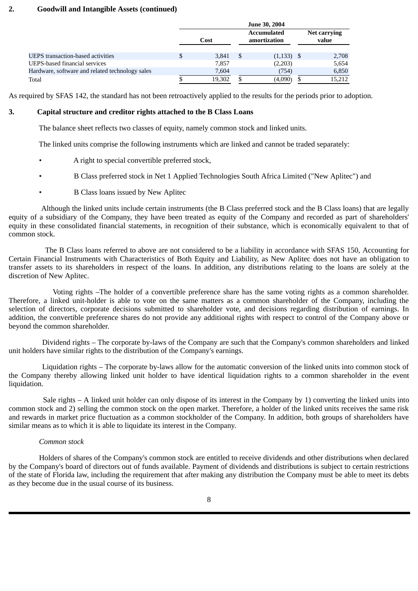# **2. Goodwill and Intangible Assets (continued)**

|                                                 |      | June 30, 2004 |                                    |              |                       |        |
|-------------------------------------------------|------|---------------|------------------------------------|--------------|-----------------------|--------|
|                                                 | Cost |               | <b>Accumulated</b><br>amortization |              | Net carrying<br>value |        |
| <b>UEPS</b> transaction-based activities        |      | 3,841         | S                                  | $(1,133)$ \$ |                       | 2,708  |
| UEPS-based financial services                   |      | 7,857         |                                    | (2,203)      |                       | 5,654  |
| Hardware, software and related technology sales |      | 7,604         |                                    | (754)        |                       | 6,850  |
| Total                                           |      | 19.302        |                                    | (4,090)      |                       | 15,212 |

As required by SFAS 142, the standard has not been retroactively applied to the results for the periods prior to adoption.

## **3. Capital structure and creditor rights attached to the B Class Loans**

The balance sheet reflects two classes of equity, namely common stock and linked units.

The linked units comprise the following instruments which are linked and cannot be traded separately:

- A right to special convertible preferred stock,
- B Class preferred stock in Net 1 Applied Technologies South Africa Limited ("New Aplitec") and
- B Class loans issued by New Aplitec

Although the linked units include certain instruments (the B Class preferred stock and the B Class loans) that are legally equity of a subsidiary of the Company, they have been treated as equity of the Company and recorded as part of shareholders' equity in these consolidated financial statements, in recognition of their substance, which is economically equivalent to that of common stock.

The B Class loans referred to above are not considered to be a liability in accordance with SFAS 150, Accounting for Certain Financial Instruments with Characteristics of Both Equity and Liability, as New Aplitec does not have an obligation to transfer assets to its shareholders in respect of the loans. In addition, any distributions relating to the loans are solely at the discretion of New Aplitec.

Voting rights –The holder of a convertible preference share has the same voting rights as a common shareholder. Therefore, a linked unit-holder is able to vote on the same matters as a common shareholder of the Company, including the selection of directors, corporate decisions submitted to shareholder vote, and decisions regarding distribution of earnings. In addition, the convertible preference shares do not provide any additional rights with respect to control of the Company above or beyond the common shareholder.

Dividend rights – The corporate by-laws of the Company are such that the Company's common shareholders and linked unit holders have similar rights to the distribution of the Company's earnings.

Liquidation rights – The corporate by-laws allow for the automatic conversion of the linked units into common stock of the Company thereby allowing linked unit holder to have identical liquidation rights to a common shareholder in the event liquidation.

Sale rights – A linked unit holder can only dispose of its interest in the Company by 1) converting the linked units into common stock and 2) selling the common stock on the open market. Therefore, a holder of the linked units receives the same risk and rewards in market price fluctuation as a common stockholder of the Company. In addition, both groups of shareholders have similar means as to which it is able to liquidate its interest in the Company.

## *Common stock*

 Holders of shares of the Company's common stock are entitled to receive dividends and other distributions when declared by the Company's board of directors out of funds available. Payment of dividends and distributions is subject to certain restrictions of the state of Florida law, including the requirement that after making any distribution the Company must be able to meet its debts as they become due in the usual course of its business.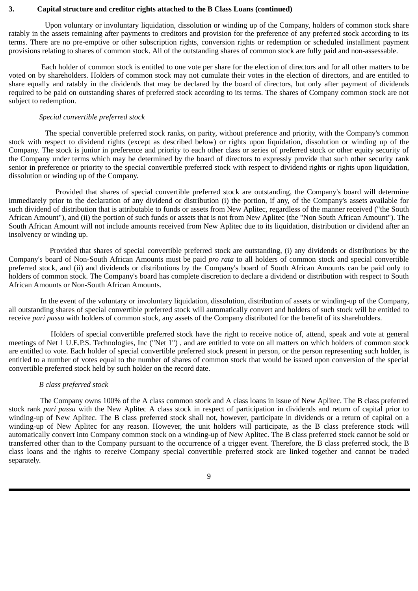#### **3. Capital structure and creditor rights attached to the B Class Loans (continued)**

Upon voluntary or involuntary liquidation, dissolution or winding up of the Company, holders of common stock share ratably in the assets remaining after payments to creditors and provision for the preference of any preferred stock according to its terms. There are no pre-emptive or other subscription rights, conversion rights or redemption or scheduled installment payment provisions relating to shares of common stock. All of the outstanding shares of common stock are fully paid and non-assessable.

Each holder of common stock is entitled to one vote per share for the election of directors and for all other matters to be voted on by shareholders. Holders of common stock may not cumulate their votes in the election of directors, and are entitled to share equally and ratably in the dividends that may be declared by the board of directors, but only after payment of dividends required to be paid on outstanding shares of preferred stock according to its terms. The shares of Company common stock are not subject to redemption.

#### *Special convertible preferred stock*

The special convertible preferred stock ranks, on parity, without preference and priority, with the Company's common stock with respect to dividend rights (except as described below) or rights upon liquidation, dissolution or winding up of the Company. The stock is junior in preference and priority to each other class or series of preferred stock or other equity security of the Company under terms which may be determined by the board of directors to expressly provide that such other security rank senior in preference or priority to the special convertible preferred stock with respect to dividend rights or rights upon liquidation, dissolution or winding up of the Company.

Provided that shares of special convertible preferred stock are outstanding, the Company's board will determine immediately prior to the declaration of any dividend or distribution (i) the portion, if any, of the Company's assets available for such dividend of distribution that is attributable to funds or assets from New Aplitec, regardless of the manner received ("the South African Amount"), and (ii) the portion of such funds or assets that is not from New Aplitec (the "Non South African Amount"). The South African Amount will not include amounts received from New Aplitec due to its liquidation, distribution or dividend after an insolvency or winding up.

Provided that shares of special convertible preferred stock are outstanding, (i) any dividends or distributions by the Company's board of Non-South African Amounts must be paid *pro rata* to all holders of common stock and special convertible preferred stock, and (ii) and dividends or distributions by the Company's board of South African Amounts can be paid only to holders of common stock. The Company's board has complete discretion to declare a dividend or distribution with respect to South African Amounts or Non-South African Amounts.

In the event of the voluntary or involuntary liquidation, dissolution, distribution of assets or winding-up of the Company, all outstanding shares of special convertible preferred stock will automatically convert and holders of such stock will be entitled to receive *pari passu* with holders of common stock, any assets of the Company distributed for the benefit of its shareholders.

Holders of special convertible preferred stock have the right to receive notice of, attend, speak and vote at general meetings of Net 1 U.E.P.S. Technologies, Inc ("Net 1") , and are entitled to vote on all matters on which holders of common stock are entitled to vote. Each holder of special convertible preferred stock present in person, or the person representing such holder, is entitled to a number of votes equal to the number of shares of common stock that would be issued upon conversion of the special convertible preferred stock held by such holder on the record date.

#### *B class preferred stock*

The Company owns 100% of the A class common stock and A class loans in issue of New Aplitec. The B class preferred stock rank *pari passu* with the New Aplitec A class stock in respect of participation in dividends and return of capital prior to winding-up of New Aplitec. The B class preferred stock shall not, however, participate in dividends or a return of capital on a winding-up of New Aplitec for any reason. However, the unit holders will participate, as the B class preference stock will automatically convert into Company common stock on a winding-up of New Aplitec. The B class preferred stock cannot be sold or transferred other than to the Company pursuant to the occurrence of a trigger event. Therefore, the B class preferred stock, the B class loans and the rights to receive Company special convertible preferred stock are linked together and cannot be traded separately.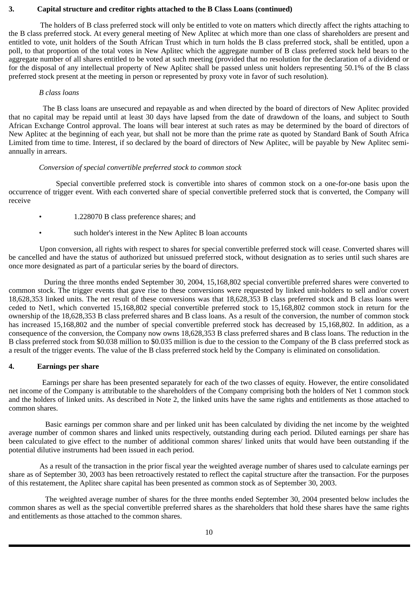## **3. Capital structure and creditor rights attached to the B Class Loans (continued)**

The holders of B class preferred stock will only be entitled to vote on matters which directly affect the rights attaching to the B class preferred stock. At every general meeting of New Aplitec at which more than one class of shareholders are present and entitled to vote, unit holders of the South African Trust which in turn holds the B class preferred stock, shall be entitled, upon a poll, to that proportion of the total votes in New Aplitec which the aggregate number of B class preferred stock held bears to the aggregate number of all shares entitled to be voted at such meeting (provided that no resolution for the declaration of a dividend or for the disposal of any intellectual property of New Aplitec shall be passed unless unit holders representing 50.1% of the B class preferred stock present at the meeting in person or represented by proxy vote in favor of such resolution).

#### *B class loans*

The B class loans are unsecured and repayable as and when directed by the board of directors of New Aplitec provided that no capital may be repaid until at least 30 days have lapsed from the date of drawdown of the loans, and subject to South African Exchange Control approval. The loans will bear interest at such rates as may be determined by the board of directors of New Aplitec at the beginning of each year, but shall not be more than the prime rate as quoted by Standard Bank of South Africa Limited from time to time. Interest, if so declared by the board of directors of New Aplitec, will be payable by New Aplitec semiannually in arrears.

#### *Conversion of special convertible preferred stock to common stock*

Special convertible preferred stock is convertible into shares of common stock on a one-for-one basis upon the occurrence of trigger event. With each converted share of special convertible preferred stock that is converted, the Company will receive

- 1.228070 B class preference shares; and
- such holder's interest in the New Aplitec B loan accounts

Upon conversion, all rights with respect to shares for special convertible preferred stock will cease. Converted shares will be cancelled and have the status of authorized but unissued preferred stock, without designation as to series until such shares are once more designated as part of a particular series by the board of directors.

During the three months ended September 30, 2004, 15,168,802 special convertible preferred shares were converted to common stock. The trigger events that gave rise to these conversions were requested by linked unit-holders to sell and/or covert 18,628,353 linked units. The net result of these conversions was that 18,628,353 B class preferred stock and B class loans were ceded to Net1, which converted 15,168,802 special convertible preferred stock to 15,168,802 common stock in return for the ownership of the 18,628,353 B class preferred shares and B class loans. As a result of the conversion, the number of common stock has increased 15,168,802 and the number of special convertible preferred stock has decreased by 15,168,802. In addition, as a consequence of the conversion, the Company now owns 18,628,353 B class preferred shares and B class loans. The reduction in the B class preferred stock from \$0.038 million to \$0.035 million is due to the cession to the Company of the B class preferred stock as a result of the trigger events. The value of the B class preferred stock held by the Company is eliminated on consolidation.

#### **4. Earnings per share**

Earnings per share has been presented separately for each of the two classes of equity. However, the entire consolidated net income of the Company is attributable to the shareholders of the Company comprising both the holders of Net 1 common stock and the holders of linked units. As described in Note 2, the linked units have the same rights and entitlements as those attached to common shares.

Basic earnings per common share and per linked unit has been calculated by dividing the net income by the weighted average number of common shares and linked units respectively, outstanding during each period. Diluted earnings per share has been calculated to give effect to the number of additional common shares/ linked units that would have been outstanding if the potential dilutive instruments had been issued in each period.

As a result of the transaction in the prior fiscal year the weighted average number of shares used to calculate earnings per share as of September 30, 2003 has been retroactively restated to reflect the capital structure after the transaction. For the purposes of this restatement, the Aplitec share capital has been presented as common stock as of September 30, 2003.

The weighted average number of shares for the three months ended September 30, 2004 presented below includes the common shares as well as the special convertible preferred shares as the shareholders that hold these shares have the same rights and entitlements as those attached to the common shares.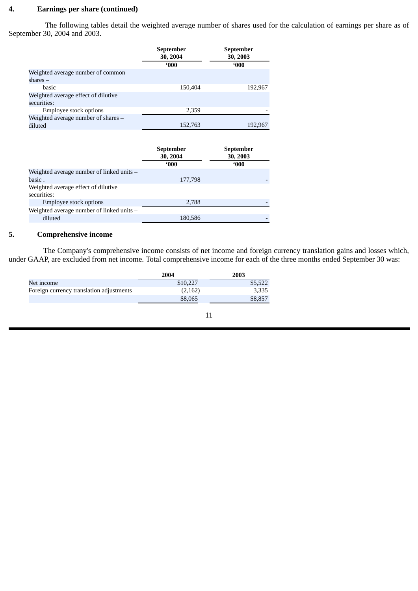# **4. Earnings per share (continued)**

The following tables detail the weighted average number of shares used for the calculation of earnings per share as of September 30, 2004 and 2003.

|                                     | September<br>30, 2004 | <b>September</b><br>30, 2003 |
|-------------------------------------|-----------------------|------------------------------|
|                                     | 000                   | $000^\circ$                  |
| Weighted average number of common   |                       |                              |
| $shares -$                          |                       |                              |
| basic                               | 150,404               | 192,967                      |
| Weighted average effect of dilutive |                       |                              |
| securities:                         |                       |                              |
| Employee stock options              | 2,359                 |                              |
| Weighted average number of shares - |                       |                              |
| diluted                             | 152,763               | 192.967                      |

|                                             | <b>September</b><br>30, 2004 | <b>September</b><br>30, 2003 |  |
|---------------------------------------------|------------------------------|------------------------------|--|
|                                             | 000                          | 000                          |  |
| Weighted average number of linked units $-$ |                              |                              |  |
| basic.                                      | 177,798                      |                              |  |
| Weighted average effect of dilutive         |                              |                              |  |
| securities:                                 |                              |                              |  |
| <b>Employee stock options</b>               | 2,788                        |                              |  |
| Weighted average number of linked units -   |                              |                              |  |
| diluted                                     | 180,586                      |                              |  |

## **5. Comprehensive income**

The Company's comprehensive income consists of net income and foreign currency translation gains and losses which, under GAAP, are excluded from net income. Total comprehensive income for each of the three months ended September 30 was:

|          | 2003    |
|----------|---------|
| \$10,227 | \$5,522 |
| (2,162)  | 3,335   |
| \$8,065  | \$8,857 |
|          | 2004    |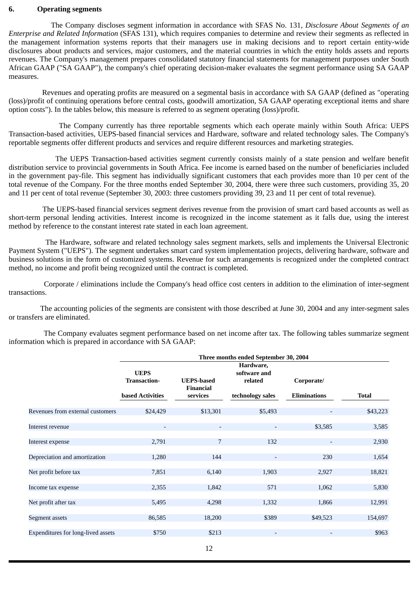#### **6. Operating segments**

The Company discloses segment information in accordance with SFAS No. 131, *Disclosure About Segments of an Enterprise and Related Information* (SFAS 131), which requires companies to determine and review their segments as reflected in the management information systems reports that their managers use in making decisions and to report certain entity-wide disclosures about products and services, major customers, and the material countries in which the entity holds assets and reports revenues. The Company's management prepares consolidated statutory financial statements for management purposes under South African GAAP ("SA GAAP"), the company's chief operating decision-maker evaluates the segment performance using SA GAAP measures.

Revenues and operating profits are measured on a segmental basis in accordance with SA GAAP (defined as "operating (loss)/profit of continuing operations before central costs, goodwill amortization, SA GAAP operating exceptional items and share option costs"). In the tables below, this measure is referred to as segment operating (loss)/profit.

The Company currently has three reportable segments which each operate mainly within South Africa: UEPS Transaction-based activities, UEPS-based financial services and Hardware, software and related technology sales. The Company's reportable segments offer different products and services and require different resources and marketing strategies.

The UEPS Transaction-based activities segment currently consists mainly of a state pension and welfare benefit distribution service to provincial governments in South Africa. Fee income is earned based on the number of beneficiaries included in the government pay-file. This segment has individually significant customers that each provides more than 10 per cent of the total revenue of the Company. For the three months ended September 30, 2004, there were three such customers, providing 35, 20 and 11 per cent of total revenue (September 30, 2003: three customers providing 39, 23 and 11 per cent of total revenue).

The UEPS-based financial services segment derives revenue from the provision of smart card based accounts as well as short-term personal lending activities. Interest income is recognized in the income statement as it falls due, using the interest method by reference to the constant interest rate stated in each loan agreement.

The Hardware, software and related technology sales segment markets, sells and implements the Universal Electronic Payment System ("UEPS"). The segment undertakes smart card system implementation projects, delivering hardware, software and business solutions in the form of customized systems. Revenue for such arrangements is recognized under the completed contract method, no income and profit being recognized until the contract is completed.

Corporate / eliminations include the Company's head office cost centers in addition to the elimination of inter-segment transactions.

The accounting policies of the segments are consistent with those described at June 30, 2004 and any inter-segment sales or transfers are eliminated.

The Company evaluates segment performance based on net income after tax. The following tables summarize segment information which is prepared in accordance with SA GAAP:

|                                    | Three months ended September 30, 2004 |                                       |                                      |                     |          |  |  |  |
|------------------------------------|---------------------------------------|---------------------------------------|--------------------------------------|---------------------|----------|--|--|--|
|                                    | <b>UEPS</b><br><b>Transaction-</b>    | <b>UEPS-based</b><br><b>Financial</b> | Hardware,<br>software and<br>related | Corporate/          |          |  |  |  |
|                                    | <b>based Activities</b>               | services                              | technology sales                     | <b>Eliminations</b> | Total    |  |  |  |
| Revenues from external customers   | \$24,429                              | \$13,301                              | \$5,493                              |                     | \$43,223 |  |  |  |
| Interest revenue                   | $\overline{\phantom{a}}$              |                                       |                                      | \$3,585             | 3,585    |  |  |  |
| Interest expense                   | 2,791                                 | 7                                     | 132                                  |                     | 2,930    |  |  |  |
| Depreciation and amortization      | 1,280                                 | 144                                   | $\qquad \qquad \blacksquare$         | 230                 | 1,654    |  |  |  |
| Net profit before tax              | 7,851                                 | 6,140                                 | 1,903                                | 2,927               | 18,821   |  |  |  |
| Income tax expense                 | 2,355                                 | 1,842                                 | 571                                  | 1,062               | 5,830    |  |  |  |
| Net profit after tax               | 5,495                                 | 4,298                                 | 1,332                                | 1,866               | 12,991   |  |  |  |
| Segment assets                     | 86,585                                | 18,200                                | \$389                                | \$49,523            | 154,697  |  |  |  |
| Expenditures for long-lived assets | \$750                                 | \$213                                 | $\overline{\phantom{a}}$             |                     | \$963    |  |  |  |
|                                    |                                       |                                       |                                      |                     |          |  |  |  |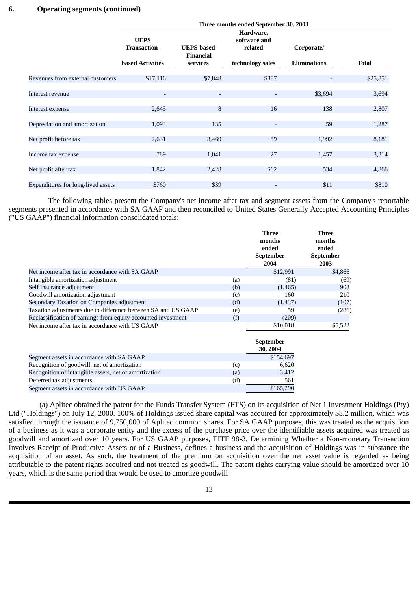|                                    | Three months ended September 30, 2003 |                                       |                          |                     |              |  |  |  |
|------------------------------------|---------------------------------------|---------------------------------------|--------------------------|---------------------|--------------|--|--|--|
|                                    | <b>UEPS</b>                           |                                       |                          |                     |              |  |  |  |
|                                    | <b>Transaction-</b>                   | <b>UEPS-based</b><br><b>Financial</b> | related                  | Corporate/          |              |  |  |  |
|                                    | <b>based Activities</b>               | services                              | technology sales         | <b>Eliminations</b> | <b>Total</b> |  |  |  |
| Revenues from external customers   | \$17,116                              | \$7,848                               | \$887                    |                     | \$25,851     |  |  |  |
| Interest revenue                   | ٠                                     | $\overline{\phantom{a}}$              | $\overline{\phantom{a}}$ | \$3,694             | 3,694        |  |  |  |
| Interest expense                   | 2,645                                 | 8                                     | 16                       | 138                 | 2,807        |  |  |  |
| Depreciation and amortization      | 1,093                                 | 135                                   |                          | 59                  | 1,287        |  |  |  |
| Net profit before tax              | 2,631                                 | 3,469                                 | 89                       | 1,992               | 8,181        |  |  |  |
| Income tax expense                 | 789                                   | 1,041                                 | 27                       | 1,457               | 3,314        |  |  |  |
| Net profit after tax               | 1,842                                 | 2,428                                 | \$62                     | 534                 | 4,866        |  |  |  |
| Expenditures for long-lived assets | \$760                                 | \$39                                  | $\overline{\phantom{a}}$ | \$11                | \$810        |  |  |  |

The following tables present the Company's net income after tax and segment assets from the Company's reportable segments presented in accordance with SA GAAP and then reconciled to United States Generally Accepted Accounting Principles ("US GAAP") financial information consolidated totals:

|                                                               |     | <b>Three</b><br>months<br>ended<br><b>September</b><br>2004 | Three<br>months<br>ended<br>September<br>2003 |
|---------------------------------------------------------------|-----|-------------------------------------------------------------|-----------------------------------------------|
| Net income after tax in accordance with SA GAAP               |     | \$12,991                                                    | \$4,866                                       |
| Intangible amortization adjustment                            | (a) | (81)                                                        | (69)                                          |
| Self insurance adjustment                                     | (b) | (1,465)                                                     | 908                                           |
| Goodwill amortization adjustment                              | (c) | 160                                                         | 210                                           |
| Secondary Taxation on Companies adjustment                    | (d) | (1,437)                                                     | (107)                                         |
| Taxation adjustments due to difference between SA and US GAAP | (e) | 59                                                          | (286)                                         |
| Reclassification of earnings from equity accounted investment | (f) | (209)                                                       |                                               |
| Net income after tax in accordance with US GAAP               |     | \$10,018                                                    | \$5,522                                       |

|                                                       |     | September<br>30, 2004 |
|-------------------------------------------------------|-----|-----------------------|
| Segment assets in accordance with SA GAAP             |     | \$154,697             |
| Recognition of goodwill, net of amortization          | (c) | 6.620                 |
| Recognition of intangible assets, net of amortization | (a) | 3,412                 |
| Deferred tax adjustments                              | (d) | 561                   |
| Segment assets in accordance with US GAAP             |     | \$165,290             |

(a) Aplitec obtained the patent for the Funds Transfer System (FTS) on its acquisition of Net 1 Investment Holdings (Pty) Ltd ("Holdings") on July 12, 2000. 100% of Holdings issued share capital was acquired for approximately \$3.2 million, which was satisfied through the issuance of 9,750,000 of Aplitec common shares. For SA GAAP purposes, this was treated as the acquisition of a business as it was a corporate entity and the excess of the purchase price over the identifiable assets acquired was treated as goodwill and amortized over 10 years. For US GAAP purposes, EITF 98-3, Determining Whether a Non-monetary Transaction Involves Receipt of Productive Assets or of a Business, defines a business and the acquisition of Holdings was in substance the acquisition of an asset. As such, the treatment of the premium on acquisition over the net asset value is regarded as being attributable to the patent rights acquired and not treated as goodwill. The patent rights carrying value should be amortized over 10 years, which is the same period that would be used to amortize goodwill.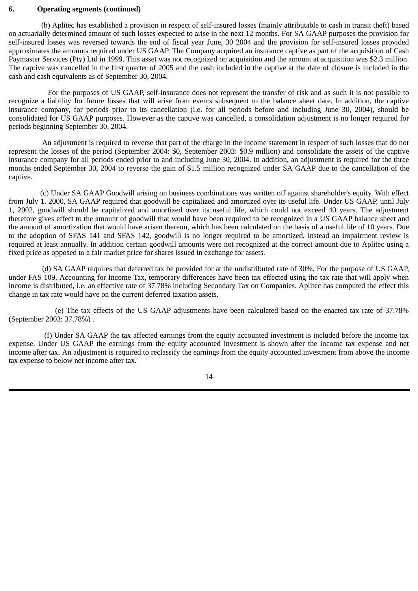#### **6. Operating segments (continued)**

(b) Aplitec has established a provision in respect of self-insured losses (mainly attributable to cash in transit theft) based on actuarially determined amount of such losses expected to arise in the next 12 months. For SA GAAP purposes the provision for self-insured losses was reversed towards the end of fiscal year June, 30 2004 and the provision for self-insured losses provided approximates the amounts required under US GAAP. The Company acquired an insurance captive as part of the acquisition of Cash Paymaster Services (Pty) Ltd in 1999. This asset was not recognized on acquisition and the amount at acquisition was \$2.3 million. The captive was cancelled in the first quarter of 2005 and the cash included in the captive at the date of closure is included in the cash and cash equivalents as of September 30, 2004.

For the purposes of US GAAP, self-insurance does not represent the transfer of risk and as such it is not possible to recognize a liability for future losses that will arise from events subsequent to the balance sheet date. In addition, the captive insurance company, for periods prior to its cancellation (i.e. for all periods before and including June 30, 2004), should be consolidated for US GAAP purposes. However as the captive was cancelled, a consolidation adjustment is no longer required for periods beginning September 30, 2004.

An adjustment is required to reverse that part of the charge in the income statement in respect of such losses that do not represent the losses of the period (September 2004: \$0, September 2003: \$0.9 million) and consolidate the assets of the captive insurance company for all periods ended prior to and including June 30, 2004. In addition, an adjustment is required for the three months ended September 30, 2004 to reverse the gain of \$1.5 million recognized under SA GAAP due to the cancellation of the captive.

(c) Under SA GAAP Goodwill arising on business combinations was written off against shareholder's equity. With effect from July 1, 2000, SA GAAP required that goodwill be capitalized and amortized over its useful life. Under US GAAP, until July 1, 2002, goodwill should be capitalized and amortized over its useful life, which could not exceed 40 years. The adjustment therefore gives effect to the amount of goodwill that would have been required to be recognized in a US GAAP balance sheet and the amount of amortization that would have arisen thereon, which has been calculated on the basis of a useful life of 10 years. Due to the adoption of SFAS 141 and SFAS 142, goodwill is no longer required to be amortized, instead an impairment review is required at least annually. In addition certain goodwill amounts were not recognized at the correct amount due to Aplitec using a fixed price as opposed to a fair market price for shares issued in exchange for assets.

(d) SA GAAP requires that deferred tax be provided for at the undistributed rate of 30%. For the purpose of US GAAP, under FAS 109, Accounting for Income Tax, temporary differences have been tax effected using the tax rate that will apply when income is distributed, i.e. an effective rate of 37.78% including Secondary Tax on Companies. Aplitec has computed the effect this change in tax rate would have on the current deferred taxation assets.

(e) The tax effects of the US GAAP adjustments have been calculated based on the enacted tax rate of 37.78% (September 2003: 37.78%) .

(f) Under SA GAAP the tax affected earnings from the equity accounted investment is included before the income tax expense. Under US GAAP the earnings from the equity accounted investment is shown after the income tax expense and net income after tax. An adjustment is required to reclassify the earnings from the equity accounted investment from above the income tax expense to below net income after tax.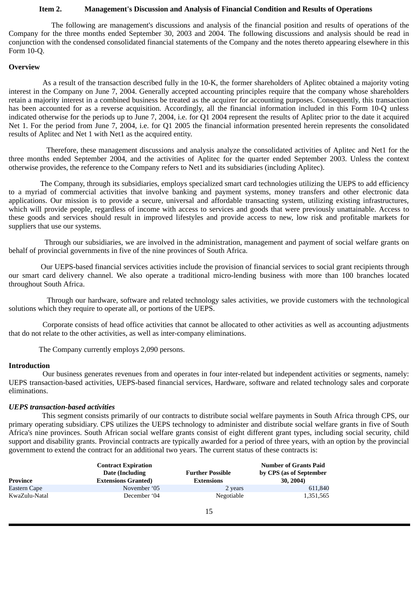#### **Item 2. Management's Discussion and Analysis of Financial Condition and Results of Operations**

<span id="page-16-0"></span>The following are management's discussions and analysis of the financial position and results of operations of the Company for the three months ended September 30, 2003 and 2004. The following discussions and analysis should be read in conjunction with the condensed consolidated financial statements of the Company and the notes thereto appearing elsewhere in this Form 10-Q.

#### **Overview**

As a result of the transaction described fully in the 10-K, the former shareholders of Aplitec obtained a majority voting interest in the Company on June 7, 2004. Generally accepted accounting principles require that the company whose shareholders retain a majority interest in a combined business be treated as the acquirer for accounting purposes. Consequently, this transaction has been accounted for as a reverse acquisition. Accordingly, all the financial information included in this Form 10-Q unless indicated otherwise for the periods up to June 7, 2004, i.e. for Q1 2004 represent the results of Aplitec prior to the date it acquired Net 1. For the period from June 7, 2004, i.e. for Q1 2005 the financial information presented herein represents the consolidated results of Aplitec and Net 1 with Net1 as the acquired entity.

Therefore, these management discussions and analysis analyze the consolidated activities of Aplitec and Net1 for the three months ended September 2004, and the activities of Aplitec for the quarter ended September 2003. Unless the context otherwise provides, the reference to the Company refers to Net1 and its subsidiaries (including Aplitec).

The Company, through its subsidiaries, employs specialized smart card technologies utilizing the UEPS to add efficiency to a myriad of commercial activities that involve banking and payment systems, money transfers and other electronic data applications. Our mission is to provide a secure, universal and affordable transacting system, utilizing existing infrastructures, which will provide people, regardless of income with access to services and goods that were previously unattainable. Access to these goods and services should result in improved lifestyles and provide access to new, low risk and profitable markets for suppliers that use our systems.

Through our subsidiaries, we are involved in the administration, management and payment of social welfare grants on behalf of provincial governments in five of the nine provinces of South Africa.

Our UEPS-based financial services activities include the provision of financial services to social grant recipients through our smart card delivery channel. We also operate a traditional micro-lending business with more than 100 branches located throughout South Africa.

Through our hardware, software and related technology sales activities, we provide customers with the technological solutions which they require to operate all, or portions of the UEPS.

Corporate consists of head office activities that cannot be allocated to other activities as well as accounting adjustments that do not relate to the other activities, as well as inter-company eliminations.

The Company currently employs 2,090 persons.

## **Introduction**

Our business generates revenues from and operates in four inter-related but independent activities or segments, namely: UEPS transaction-based activities, UEPS-based financial services, Hardware, software and related technology sales and corporate eliminations.

#### *UEPS transaction-based activities*

This segment consists primarily of our contracts to distribute social welfare payments in South Africa through CPS, our primary operating subsidiary. CPS utilizes the UEPS technology to administer and distribute social welfare grants in five of South Africa's nine provinces. South African social welfare grants consist of eight different grant types, including social security, child support and disability grants. Provincial contracts are typically awarded for a period of three years, with an option by the provincial government to extend the contract for an additional two years. The current status of these contracts is:

| Province      | <b>Contract Expiration</b><br>Date (Including<br><b>Extensions Granted)</b> | <b>Further Possible</b><br><b>Extensions</b> | <b>Number of Grants Paid</b><br>by CPS (as of September<br>30, 2004) |
|---------------|-----------------------------------------------------------------------------|----------------------------------------------|----------------------------------------------------------------------|
| Eastern Cape  | November '05                                                                | 2 years                                      | 611,840                                                              |
| KwaZulu-Natal | December '04                                                                | Negotiable                                   | 1,351,565                                                            |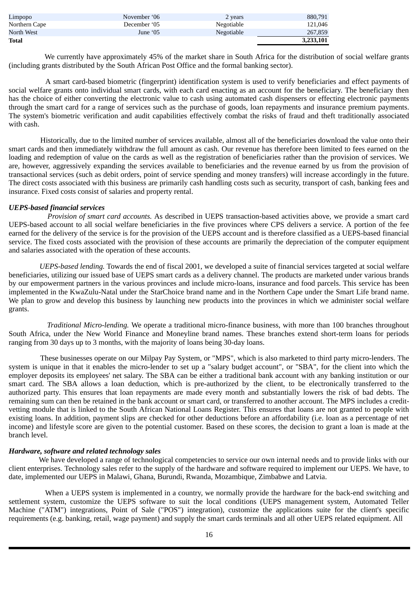| North West<br>June '05        | Negotiable | 267,859 |
|-------------------------------|------------|---------|
| Northern Cape<br>December '05 | Negotiable | 121.046 |
| Limpopo<br>November '06       | 2 years    | 880,791 |

We currently have approximately 45% of the market share in South Africa for the distribution of social welfare grants (including grants distributed by the South African Post Office and the formal banking sector).

A smart card-based biometric (fingerprint) identification system is used to verify beneficiaries and effect payments of social welfare grants onto individual smart cards, with each card enacting as an account for the beneficiary. The beneficiary then has the choice of either converting the electronic value to cash using automated cash dispensers or effecting electronic payments through the smart card for a range of services such as the purchase of goods, loan repayments and insurance premium payments. The system's biometric verification and audit capabilities effectively combat the risks of fraud and theft traditionally associated with cash.

Historically, due to the limited number of services available, almost all of the beneficiaries download the value onto their smart cards and then immediately withdraw the full amount as cash. Our revenue has therefore been limited to fees earned on the loading and redemption of value on the cards as well as the registration of beneficiaries rather than the provision of services. We are, however, aggressively expanding the services available to beneficiaries and the revenue earned by us from the provision of transactional services (such as debit orders, point of service spending and money transfers) will increase accordingly in the future. The direct costs associated with this business are primarily cash handling costs such as security, transport of cash, banking fees and insurance. Fixed costs consist of salaries and property rental.

## *UEPS-based financial services*

*Provision of smart card accounts.* As described in UEPS transaction-based activities above, we provide a smart card UEPS-based account to all social welfare beneficiaries in the five provinces where CPS delivers a service. A portion of the fee earned for the delivery of the service is for the provision of the UEPS account and is therefore classified as a UEPS-based financial service. The fixed costs associated with the provision of these accounts are primarily the depreciation of the computer equipment and salaries associated with the operation of these accounts.

*UEPS-based lending.* Towards the end of fiscal 2001, we developed a suite of financial services targeted at social welfare beneficiaries, utilizing our issued base of UEPS smart cards as a delivery channel. The products are marketed under various brands by our empowerment partners in the various provinces and include micro-loans, insurance and food parcels. This service has been implemented in the KwaZulu-Natal under the StarChoice brand name and in the Northern Cape under the Smart Life brand name. We plan to grow and develop this business by launching new products into the provinces in which we administer social welfare grants.

*Traditional Micro-lending.* We operate a traditional micro-finance business, with more than 100 branches throughout South Africa, under the New World Finance and Moneyline brand names. These branches extend short-term loans for periods ranging from 30 days up to 3 months, with the majority of loans being 30-day loans.

These businesses operate on our Milpay Pay System, or "MPS", which is also marketed to third party micro-lenders. The system is unique in that it enables the micro-lender to set up a "salary budget account", or "SBA", for the client into which the employer deposits its employees' net salary. The SBA can be either a traditional bank account with any banking institution or our smart card. The SBA allows a loan deduction, which is pre-authorized by the client, to be electronically transferred to the authorized party. This ensures that loan repayments are made every month and substantially lowers the risk of bad debts. The remaining sum can then be retained in the bank account or smart card, or transferred to another account. The MPS includes a creditvetting module that is linked to the South African National Loans Register. This ensures that loans are not granted to people with existing loans. In addition, payment slips are checked for other deductions before an affordability (i.e. loan as a percentage of net income) and lifestyle score are given to the potential customer. Based on these scores, the decision to grant a loan is made at the branch level.

## *Hardware, software and related technology sales*

 We have developed a range of technological competencies to service our own internal needs and to provide links with our client enterprises. Technology sales refer to the supply of the hardware and software required to implement our UEPS. We have, to date, implemented our UEPS in Malawi, Ghana, Burundi, Rwanda, Mozambique, Zimbabwe and Latvia.

When a UEPS system is implemented in a country, we normally provide the hardware for the back-end switching and settlement system, customize the UEPS software to suit the local conditions (UEPS management system, Automated Teller Machine ("ATM") integrations, Point of Sale ("POS") integration), customize the applications suite for the client's specific requirements (e.g. banking, retail, wage payment) and supply the smart cards terminals and all other UEPS related equipment. All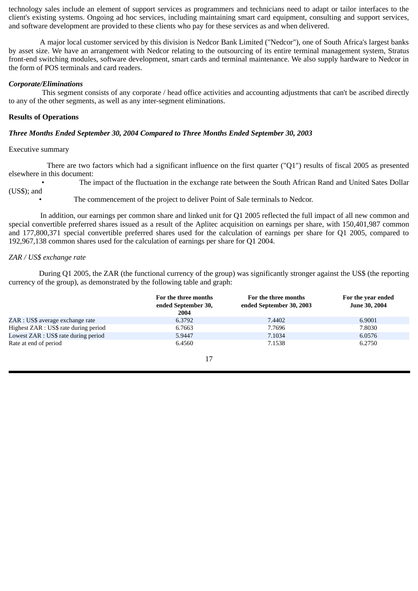technology sales include an element of support services as programmers and technicians need to adapt or tailor interfaces to the client's existing systems. Ongoing ad hoc services, including maintaining smart card equipment, consulting and support services, and software development are provided to these clients who pay for these services as and when delivered.

A major local customer serviced by this division is Nedcor Bank Limited ("Nedcor"), one of South Africa's largest banks by asset size. We have an arrangement with Nedcor relating to the outsourcing of its entire terminal management system, Stratus front-end switching modules, software development, smart cards and terminal maintenance. We also supply hardware to Nedcor in the form of POS terminals and card readers.

## *Corporate/Eliminations*

This segment consists of any corporate / head office activities and accounting adjustments that can't be ascribed directly to any of the other segments, as well as any inter-segment eliminations.

## **Results of Operations**

## *Three Months Ended September 30, 2004 Compared to Three Months Ended September 30, 2003*

#### Executive summary

There are two factors which had a significant influence on the first quarter ("Q1") results of fiscal 2005 as presented elsewhere in this document:

• The impact of the fluctuation in the exchange rate between the South African Rand and United Sates Dollar (US\$); and

The commencement of the project to deliver Point of Sale terminals to Nedcor.

In addition, our earnings per common share and linked unit for Q1 2005 reflected the full impact of all new common and special convertible preferred shares issued as a result of the Aplitec acquisition on earnings per share, with 150,401,987 common and 177,800,371 special convertible preferred shares used for the calculation of earnings per share for Q1 2005, compared to 192,967,138 common shares used for the calculation of earnings per share for Q1 2004.

## *ZAR / US\$ exchange rate*

 During Q1 2005, the ZAR (the functional currency of the group) was significantly stronger against the US\$ (the reporting currency of the group), as demonstrated by the following table and graph:

|                                       | For the three months<br>ended September 30,<br>2004 | For the three months<br>ended September 30, 2003 | For the year ended<br><b>June 30, 2004</b> |
|---------------------------------------|-----------------------------------------------------|--------------------------------------------------|--------------------------------------------|
| ZAR : US\$ average exchange rate      | 6.3792                                              | 7.4402                                           | 6.9001                                     |
| Highest ZAR : US\$ rate during period | 6.7663                                              | 7.7696                                           | 7.8030                                     |
| Lowest ZAR : US\$ rate during period  | 5.9447                                              | 7.1034                                           | 6.0576                                     |
| Rate at end of period                 | 6.4560                                              | 7.1538                                           | 6.2750                                     |
|                                       |                                                     |                                                  |                                            |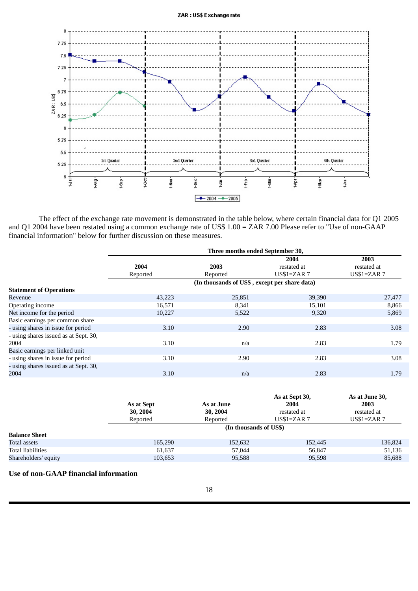

 The effect of the exchange rate movement is demonstrated in the table below, where certain financial data for Q1 2005 and Q1 2004 have been restated using a common exchange rate of US\$ 1.00 = ZAR 7.00 Please refer to "Use of non-GAAP financial information" below for further discussion on these measures.

|                                       | Three months ended September 30, |                                               |                    |                    |  |  |
|---------------------------------------|----------------------------------|-----------------------------------------------|--------------------|--------------------|--|--|
|                                       |                                  |                                               | 2004               | 2003               |  |  |
|                                       | 2004                             | 2003                                          | restated at        | restated at        |  |  |
|                                       | Reported                         | Reported                                      | <b>US\$1=ZAR 7</b> | <b>US\$1=ZAR 7</b> |  |  |
|                                       |                                  | (In thousands of US\$, except per share data) |                    |                    |  |  |
| <b>Statement of Operations</b>        |                                  |                                               |                    |                    |  |  |
| Revenue                               | 43,223                           | 25,851                                        | 39,390             | 27,477             |  |  |
| Operating income                      | 16,571                           | 8,341                                         | 15,101             | 8,866              |  |  |
| Net income for the period             | 10,227                           | 5,522                                         | 9,320              | 5,869              |  |  |
| Basic earnings per common share       |                                  |                                               |                    |                    |  |  |
| - using shares in issue for period    | 3.10                             | 2.90                                          | 2.83               | 3.08               |  |  |
| - using shares issued as at Sept. 30, |                                  |                                               |                    |                    |  |  |
| 2004                                  | 3.10                             | n/a                                           | 2.83               | 1.79               |  |  |
| Basic earnings per linked unit        |                                  |                                               |                    |                    |  |  |
| - using shares in issue for period    | 3.10                             | 2.90                                          | 2.83               | 3.08               |  |  |
| - using shares issued as at Sept. 30, |                                  |                                               |                    |                    |  |  |
| 2004                                  | 3.10                             | n/a                                           | 2.83               | 1.79               |  |  |
|                                       |                                  |                                               |                    |                    |  |  |

|                          | As at Sept<br>30, 2004<br>Reported | As at June<br>30, 2004<br>Reported | As at Sept 30,<br>2004<br>restated at<br>$US$1=ZAR$ 7 | As at June 30,<br>2003<br>restated at<br>$US$1=ZAR$ 7 |  |  |
|--------------------------|------------------------------------|------------------------------------|-------------------------------------------------------|-------------------------------------------------------|--|--|
|                          | (In thousands of US\$)             |                                    |                                                       |                                                       |  |  |
| <b>Balance Sheet</b>     |                                    |                                    |                                                       |                                                       |  |  |
| Total assets             | 165,290                            | 152,632                            | 152,445                                               | 136,824                                               |  |  |
| <b>Total liabilities</b> | 61,637                             | 57,044                             | 56.847                                                | 51,136                                                |  |  |
| Shareholders' equity     | 103,653                            | 95,588                             | 95,598                                                | 85,688                                                |  |  |

# **Use of non-GAAP financial information**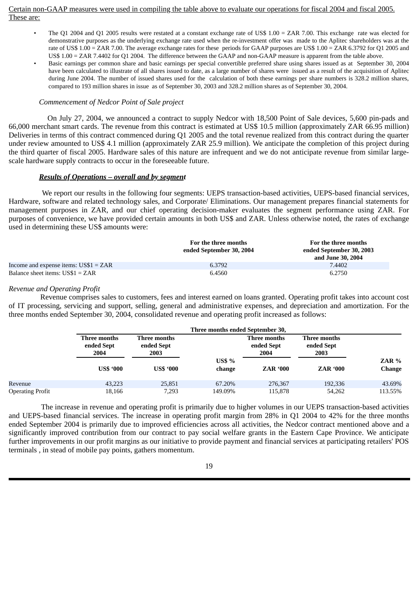## Certain non-GAAP measures were used in compiling the table above to evaluate our operations for fiscal 2004 and fiscal 2005. These are:

- The Q1 2004 and Q1 2005 results were restated at a constant exchange rate of US\$ 1.00 = ZAR 7.00. This exchange rate was elected for demonstrative purposes as the underlying exchange rate used when the re-investment offer was made to the Aplitec shareholders was at the rate of US\$ 1.00 = ZAR 7.00. The average exchange rates for these periods for GAAP purposes are US\$ 1.00 = ZAR 6.3792 for Q1 2005 and US\$ 1.00 = ZAR 7.4402 for Q1 2004. The difference between the GAAP and non-GAAP measure is apparent from the table above.
- Basic earnings per common share and basic earnings per special convertible preferred share using shares issued as at September 30, 2004 have been calculated to illustrate of all shares issued to date, as a large number of shares were issued as a result of the acquisition of Aplitec during June 2004. The number of issued shares used for the calculation of both these earnings per share numbers is 328.2 million shares, compared to 193 million shares in issue as of September 30, 2003 and 328.2 million shares as of September 30, 2004.

## *Commencement of Nedcor Point of Sale project*

On July 27, 2004, we announced a contract to supply Nedcor with 18,500 Point of Sale devices, 5,600 pin-pads and 66,000 merchant smart cards. The revenue from this contract is estimated at US\$ 10.5 million (approximately ZAR 66.95 million) Deliveries in terms of this contract commenced during Q1 2005 and the total revenue realized from this contract during the quarter under review amounted to US\$ 4.1 million (approximately ZAR 25.9 million). We anticipate the completion of this project during the third quarter of fiscal 2005. Hardware sales of this nature are infrequent and we do not anticipate revenue from similar largescale hardware supply contracts to occur in the foreseeable future.

## *Results of Operations – overall and by segment*

We report our results in the following four segments: UEPS transaction-based activities, UEPS-based financial services, Hardware, software and related technology sales, and Corporate/ Eliminations. Our management prepares financial statements for management purposes in ZAR, and our chief operating decision-maker evaluates the segment performance using ZAR. For purposes of convenience, we have provided certain amounts in both US\$ and ZAR. Unless otherwise noted, the rates of exchange used in determining these US\$ amounts were:

|                                               | For the three months<br>ended September 30, 2004 | For the three months<br>ended September 30, 2003<br>and June 30, 2004 |
|-----------------------------------------------|--------------------------------------------------|-----------------------------------------------------------------------|
| Income and expense items: $\text{US$1 = ZAR}$ | 6.3792                                           | 7.4402                                                                |
| Balance sheet items: $\text{US$1 = ZAR}$      | 6.4560                                           | 6.2750                                                                |

## *Revenue and Operating Profit*

Revenue comprises sales to customers, fees and interest earned on loans granted. Operating profit takes into account cost of IT processing, servicing and support, selling, general and administrative expenses, and depreciation and amortization. For the three months ended September 30, 2004, consolidated revenue and operating profit increased as follows:

|                         | Three months ended September 30,   |                                    |                         |                                    |                                    |                        |  |  |
|-------------------------|------------------------------------|------------------------------------|-------------------------|------------------------------------|------------------------------------|------------------------|--|--|
|                         | Three months<br>ended Sept<br>2004 | Three months<br>ended Sept<br>2003 |                         | Three months<br>ended Sept<br>2004 | Three months<br>ended Sept<br>2003 |                        |  |  |
|                         | <b>US\$ '000</b>                   | <b>US\$ '000</b>                   | <b>US\$ %</b><br>change | <b>ZAR '000</b>                    | <b>ZAR '000</b>                    | ZAR %<br><b>Change</b> |  |  |
| Revenue                 | 43,223                             | 25,851                             | 67.20%                  | 276,367                            | 192,336                            | 43.69%                 |  |  |
| <b>Operating Profit</b> | 18,166                             | 7,293                              | 149.09%                 | 115,878                            | 54,262                             | 113.55%                |  |  |

The increase in revenue and operating profit is primarily due to higher volumes in our UEPS transaction-based activities and UEPS-based financial services. The increase in operating profit margin from 28% in Q1 2004 to 42% for the three months ended September 2004 is primarily due to improved efficiencies across all activities, the Nedcor contract mentioned above and a significantly improved contribution from our contract to pay social welfare grants in the Eastern Cape Province. We anticipate further improvements in our profit margins as our initiative to provide payment and financial services at participating retailers' POS terminals , in stead of mobile pay points, gathers momentum.

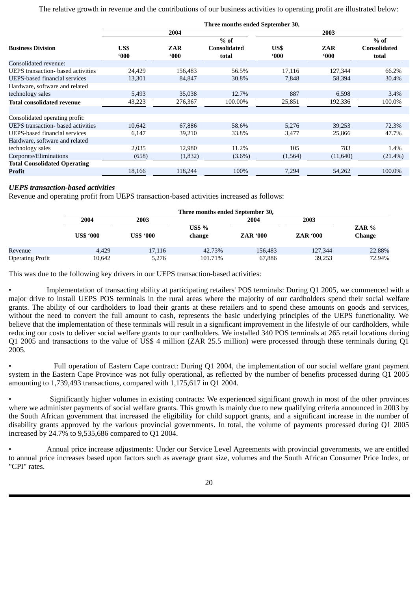## The relative growth in revenue and the contributions of our business activities to operating profit are illustrated below:

|                                           | Three months ended September 30, |                      |                              |                       |                      |                              |  |
|-------------------------------------------|----------------------------------|----------------------|------------------------------|-----------------------|----------------------|------------------------------|--|
|                                           |                                  | 2004                 |                              |                       | 2003                 |                              |  |
|                                           |                                  |                      | $%$ of                       |                       |                      | $%$ of                       |  |
| <b>Business Division</b>                  | US\$<br>$000^{\circ}$            | ZAR<br>$000^{\circ}$ | <b>Consolidated</b><br>total | US\$<br>$000^{\circ}$ | ZAR<br>$000^{\circ}$ | <b>Consolidated</b><br>total |  |
| Consolidated revenue:                     |                                  |                      |                              |                       |                      |                              |  |
| <b>UEPS</b> transaction- based activities | 24,429                           | 156,483              | 56.5%                        | 17,116                | 127,344              | 66.2%                        |  |
| <b>UEPS-based financial services</b>      | 13,301                           | 84,847               | 30.8%                        | 7,848                 | 58,394               | 30.4%                        |  |
| Hardware, software and related            |                                  |                      |                              |                       |                      |                              |  |
| technology sales                          | 5,493                            | 35,038               | 12.7%                        | 887                   | 6,598                | 3.4%                         |  |
| <b>Total consolidated revenue</b>         | 43,223                           | 276,367              | 100.00%                      | 25,851                | 192,336              | 100.0%                       |  |
| Consolidated operating profit:            |                                  |                      |                              |                       |                      |                              |  |
| <b>UEPS</b> transaction- based activities | 10,642                           | 67,886               | 58.6%                        | 5,276                 | 39,253               | 72.3%                        |  |
| <b>UEPS-based financial services</b>      | 6,147                            | 39,210               | 33.8%                        | 3,477                 | 25,866               | 47.7%                        |  |
| Hardware, software and related            |                                  |                      |                              |                       |                      |                              |  |
| technology sales                          | 2,035                            | 12,980               | 11.2%                        | 105                   | 783                  | 1.4%                         |  |
| Corporate/Eliminations                    | (658)                            | (1,832)              | $(3.6\%)$                    | (1, 564)              | (11, 640)            | $(21.4\%)$                   |  |
| <b>Total Consolidated Operating</b>       |                                  |                      |                              |                       |                      |                              |  |
| Profit                                    | 18,166                           | 118,244              | 100%                         | 7,294                 | 54,262               | 100.0%                       |  |

# *UEPS transaction-based activities*

Revenue and operating profit from UEPS transaction-based activities increased as follows:

|                         | Three months ended September 30, |                  |                         |                 |                 |                          |  |
|-------------------------|----------------------------------|------------------|-------------------------|-----------------|-----------------|--------------------------|--|
|                         | 2004                             | 2003             |                         | 2004            | 2003            |                          |  |
|                         | <b>US\$ '000</b>                 | <b>US\$ '000</b> | <b>US\$ %</b><br>change | <b>ZAR '000</b> | <b>ZAR '000</b> | ZAR $%$<br><b>Change</b> |  |
| Revenue                 | 4.429                            | 17,116           | 42.73%                  | 156,483         | 127,344         | 22.88%                   |  |
| <b>Operating Profit</b> | 10,642                           | 5,276            | 101.71%                 | 67,886          | 39,253          | 72.94%                   |  |

This was due to the following key drivers in our UEPS transaction-based activities:

• Implementation of transacting ability at participating retailers' POS terminals: During Q1 2005, we commenced with a major drive to install UEPS POS terminals in the rural areas where the majority of our cardholders spend their social welfare grants. The ability of our cardholders to load their grants at these retailers and to spend these amounts on goods and services, without the need to convert the full amount to cash, represents the basic underlying principles of the UEPS functionality. We believe that the implementation of these terminals will result in a significant improvement in the lifestyle of our cardholders, while reducing our costs to deliver social welfare grants to our cardholders. We installed 340 POS terminals at 265 retail locations during Q1 2005 and transactions to the value of US\$ 4 million (ZAR 25.5 million) were processed through these terminals during Q1 2005.

• Full operation of Eastern Cape contract: During Q1 2004, the implementation of our social welfare grant payment system in the Eastern Cape Province was not fully operational, as reflected by the number of benefits processed during Q1 2005 amounting to 1,739,493 transactions, compared with 1,175,617 in Q1 2004.

• Significantly higher volumes in existing contracts: We experienced significant growth in most of the other provinces where we administer payments of social welfare grants. This growth is mainly due to new qualifying criteria announced in 2003 by the South African government that increased the eligibility for child support grants, and a significant increase in the number of disability grants approved by the various provincial governments. In total, the volume of payments processed during Q1 2005 increased by 24.7% to 9,535,686 compared to Q1 2004.

• Annual price increase adjustments: Under our Service Level Agreements with provincial governments, we are entitled to annual price increases based upon factors such as average grant size, volumes and the South African Consumer Price Index, or "CPI" rates.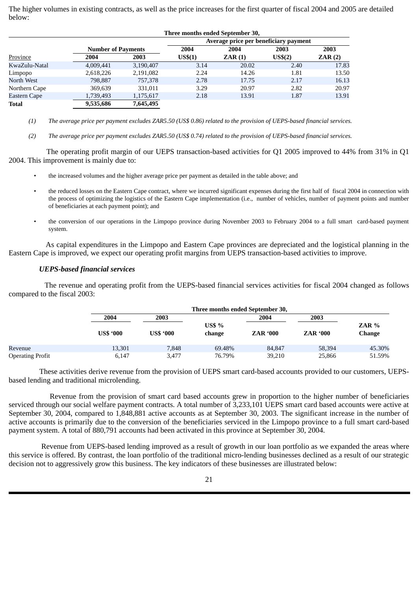The higher volumes in existing contracts, as well as the price increases for the first quarter of fiscal 2004 and 2005 are detailed below:

|               |                           |           | Three months ended September 30, |                                       |                     |        |
|---------------|---------------------------|-----------|----------------------------------|---------------------------------------|---------------------|--------|
|               |                           |           |                                  | Average price per beneficiary payment |                     |        |
|               | <b>Number of Payments</b> |           | 2004                             | 2004                                  | 2003                | 2003   |
| Province      | 2004                      | 2003      | US\$(1)                          | ZAR(1)                                | US <sub>5</sub> (2) | ZAR(2) |
| KwaZulu-Natal | 4,009,441                 | 3,190,407 | 3.14                             | 20.02                                 | 2.40                | 17.83  |
| Limpopo       | 2,618,226                 | 2,191,082 | 2.24                             | 14.26                                 | 1.81                | 13.50  |
| North West    | 798,887                   | 757,378   | 2.78                             | 17.75                                 | 2.17                | 16.13  |
| Northern Cape | 369,639                   | 331,011   | 3.29                             | 20.97                                 | 2.82                | 20.97  |
| Eastern Cape  | 1,739,493                 | 1,175,617 | 2.18                             | 13.91                                 | 1.87                | 13.91  |
| <b>Total</b>  | 9,535,686                 | 7,645,495 |                                  |                                       |                     |        |

(1) The average price per payment excludes ZAR5.50 (US\$ 0.86) related to the provision of UEPS-based financial services.

(2) The average price per payment excludes ZAR5.50 (US\$ 0.74) related to the provision of UEPS-based financial services.

The operating profit margin of our UEPS transaction-based activities for Q1 2005 improved to 44% from 31% in Q1 2004. This improvement is mainly due to:

- the increased volumes and the higher average price per payment as detailed in the table above; and
- the reduced losses on the Eastern Cape contract, where we incurred significant expenses during the first half of fiscal 2004 in connection with the process of optimizing the logistics of the Eastern Cape implementation (i.e., number of vehicles, number of payment points and number of beneficiaries at each payment point); and
- the conversion of our operations in the Limpopo province during November 2003 to February 2004 to a full smart card-based payment system.

As capital expenditures in the Limpopo and Eastern Cape provinces are depreciated and the logistical planning in the Eastern Cape is improved, we expect our operating profit margins from UEPS transaction-based activities to improve.

## *UEPS-based financial services*

The revenue and operating profit from the UEPS-based financial services activities for fiscal 2004 changed as follows compared to the fiscal 2003:

|                         |                  | Three months ended September 30, |                  |                 |                 |                   |  |  |
|-------------------------|------------------|----------------------------------|------------------|-----------------|-----------------|-------------------|--|--|
|                         | 2004             | 2003                             |                  | 2004            | 2003            |                   |  |  |
|                         | <b>US\$ '000</b> | <b>US\$ '000</b>                 | US\$ %<br>change | <b>ZAR '000</b> | <b>ZAR '000</b> | $ZAR\%$<br>Change |  |  |
| Revenue                 | 13,301           | 7.848                            | 69.48%           | 84.847          | 58,394          | 45.30%            |  |  |
| <b>Operating Profit</b> | 6,147            | 3.477                            | 76.79%           | 39.210          | 25.866          | 51.59%            |  |  |

These activities derive revenue from the provision of UEPS smart card-based accounts provided to our customers, UEPSbased lending and traditional microlending.

Revenue from the provision of smart card based accounts grew in proportion to the higher number of beneficiaries serviced through our social welfare payment contracts. A total number of 3,233,101 UEPS smart card based accounts were active at September 30, 2004, compared to 1,848,881 active accounts as at September 30, 2003. The significant increase in the number of active accounts is primarily due to the conversion of the beneficiaries serviced in the Limpopo province to a full smart card-based payment system. A total of 880,791 accounts had been activated in this province at September 30, 2004.

Revenue from UEPS-based lending improved as a result of growth in our loan portfolio as we expanded the areas where this service is offered. By contrast, the loan portfolio of the traditional micro-lending businesses declined as a result of our strategic decision not to aggressively grow this business. The key indicators of these businesses are illustrated below: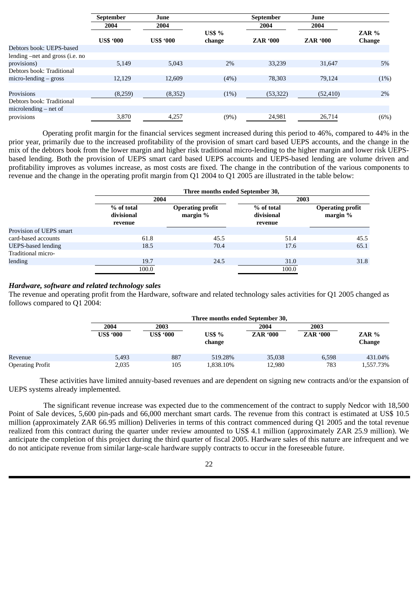|                                 | <b>September</b> | June             |               | September       | June            |               |
|---------------------------------|------------------|------------------|---------------|-----------------|-----------------|---------------|
|                                 | 2004             | 2004             |               | 2004            | 2004            |               |
|                                 |                  |                  | <b>US\$ %</b> |                 |                 | ZAR %         |
|                                 | <b>US\$ '000</b> | <b>US\$ '000</b> | change        | <b>ZAR '000</b> | <b>ZAR '000</b> | <b>Change</b> |
| Debtors book: UEPS-based        |                  |                  |               |                 |                 |               |
| lending –net and gross (i.e. no |                  |                  |               |                 |                 |               |
| provisions)                     | 5,149            | 5,043            | $2\%$         | 33,239          | 31,647          | 5%            |
| Debtors book: Traditional       |                  |                  |               |                 |                 |               |
| $micro$ -lending $-$ gross      | 12,129           | 12,609           | (4%)          | 78,303          | 79,124          | (1%)          |
|                                 |                  |                  |               |                 |                 |               |
| Provisions                      | (8,259)          | (8,352)          | (1%)          | (53, 322)       | (52, 410)       | 2%            |
| Debtors book: Traditional       |                  |                  |               |                 |                 |               |
| $microlending - net of$         |                  |                  |               |                 |                 |               |
| provisions                      | 3,870            | 4,257            | (9%)          | 24,981          | 26,714          | (6%)          |

Operating profit margin for the financial services segment increased during this period to 46%, compared to 44% in the prior year, primarily due to the increased profitability of the provision of smart card based UEPS accounts, and the change in the mix of the debtors book from the lower margin and higher risk traditional micro-lending to the higher margin and lower risk UEPSbased lending. Both the provision of UEPS smart card based UEPS accounts and UEPS-based lending are volume driven and profitability improves as volumes increase, as most costs are fixed. The change in the contribution of the various components to revenue and the change in the operating profit margin from Q1 2004 to Q1 2005 are illustrated in the table below:

|                           | Three months ended September 30, |                                       |                          |                                     |  |  |
|---------------------------|----------------------------------|---------------------------------------|--------------------------|-------------------------------------|--|--|
|                           | 2004                             |                                       | 2003                     |                                     |  |  |
|                           | % of total<br>divisional         | <b>Operating profit</b><br>margin $%$ | % of total<br>divisional | <b>Operating profit</b><br>margin % |  |  |
|                           | revenue                          |                                       | revenue                  |                                     |  |  |
| Provision of UEPS smart   |                                  |                                       |                          |                                     |  |  |
| card-based accounts       | 61.8                             | 45.5                                  | 51.4                     | 45.5                                |  |  |
| <b>UEPS-based lending</b> | 18.5                             | 70.4                                  | 17.6                     | 65.1                                |  |  |
| Traditional micro-        |                                  |                                       |                          |                                     |  |  |
| lending                   | 19.7                             | 24.5                                  | 31.0                     | 31.8                                |  |  |
|                           | 100.0                            |                                       | 100.0                    |                                     |  |  |

#### *Hardware, software and related technology sales*

The revenue and operating profit from the Hardware, software and related technology sales activities for Q1 2005 changed as follows compared to Q1 2004:

|                         |                  | Three months ended September 30, |                         |                 |                 |                          |  |  |
|-------------------------|------------------|----------------------------------|-------------------------|-----------------|-----------------|--------------------------|--|--|
|                         | 2004             | 2003                             |                         | 2004            | 2003            |                          |  |  |
|                         | <b>US\$ '000</b> | <b>US\$ '000</b>                 | <b>US\$ %</b><br>change | <b>ZAR '000</b> | <b>ZAR '000</b> | $ZAR\%$<br><b>Change</b> |  |  |
| Revenue                 | 5,493            | 887                              | 519.28%                 | 35,038          | 6.598           | 431.04%                  |  |  |
| <b>Operating Profit</b> | 2,035            | 105                              | 1,838.10%               | 12,980          | 783             | 1,557.73%                |  |  |

These activities have limited annuity-based revenues and are dependent on signing new contracts and/or the expansion of UEPS systems already implemented.

The significant revenue increase was expected due to the commencement of the contract to supply Nedcor with 18,500 Point of Sale devices, 5,600 pin-pads and 66,000 merchant smart cards. The revenue from this contract is estimated at US\$ 10.5 million (approximately ZAR 66.95 million) Deliveries in terms of this contract commenced during Q1 2005 and the total revenue realized from this contract during the quarter under review amounted to US\$ 4.1 million (approximately ZAR 25.9 million). We anticipate the completion of this project during the third quarter of fiscal 2005. Hardware sales of this nature are infrequent and we do not anticipate revenue from similar large-scale hardware supply contracts to occur in the foreseeable future.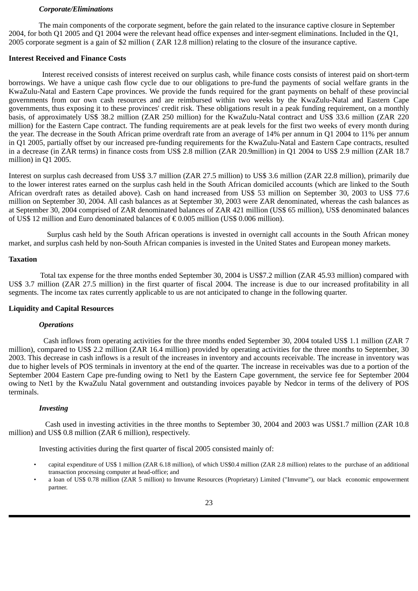#### *Corporate/Eliminations*

 The main components of the corporate segment, before the gain related to the insurance captive closure in September 2004, for both Q1 2005 and Q1 2004 were the relevant head office expenses and inter-segment eliminations. Included in the Q1, 2005 corporate segment is a gain of \$2 million ( ZAR 12.8 million) relating to the closure of the insurance captive.

#### **Interest Received and Finance Costs**

Interest received consists of interest received on surplus cash, while finance costs consists of interest paid on short-term borrowings. We have a unique cash flow cycle due to our obligations to pre-fund the payments of social welfare grants in the KwaZulu-Natal and Eastern Cape provinces. We provide the funds required for the grant payments on behalf of these provincial governments from our own cash resources and are reimbursed within two weeks by the KwaZulu-Natal and Eastern Cape governments, thus exposing it to these provinces' credit risk. These obligations result in a peak funding requirement, on a monthly basis, of approximately US\$ 38.2 million (ZAR 250 million) for the KwaZulu-Natal contract and US\$ 33.6 million (ZAR 220 million) for the Eastern Cape contract. The funding requirements are at peak levels for the first two weeks of every month during the year. The decrease in the South African prime overdraft rate from an average of 14% per annum in Q1 2004 to 11% per annum in Q1 2005, partially offset by our increased pre-funding requirements for the KwaZulu-Natal and Eastern Cape contracts, resulted in a decrease (in ZAR terms) in finance costs from US\$ 2.8 million (ZAR 20.9million) in Q1 2004 to US\$ 2.9 million (ZAR 18.7 million) in Q1 2005.

Interest on surplus cash decreased from US\$ 3.7 million (ZAR 27.5 million) to US\$ 3.6 million (ZAR 22.8 million), primarily due to the lower interest rates earned on the surplus cash held in the South African domiciled accounts (which are linked to the South African overdraft rates as detailed above). Cash on hand increased from US\$ 53 million on September 30, 2003 to US\$ 77.6 million on September 30, 2004. All cash balances as at September 30, 2003 were ZAR denominated, whereas the cash balances as at September 30, 2004 comprised of ZAR denominated balances of ZAR 421 million (US\$ 65 million), US\$ denominated balances of US\$ 12 million and Euro denominated balances of  $\epsilon$  0.005 million (US\$ 0.006 million).

Surplus cash held by the South African operations is invested in overnight call accounts in the South African money market, and surplus cash held by non-South African companies is invested in the United States and European money markets.

## **Taxation**

Total tax expense for the three months ended September 30, 2004 is US\$7.2 million (ZAR 45.93 million) compared with US\$ 3.7 million (ZAR 27.5 million) in the first quarter of fiscal 2004. The increase is due to our increased profitability in all segments. The income tax rates currently applicable to us are not anticipated to change in the following quarter.

#### **Liquidity and Capital Resources**

#### *Operations*

Cash inflows from operating activities for the three months ended September 30, 2004 totaled US\$ 1.1 million (ZAR 7 million), compared to US\$ 2.2 million (ZAR 16.4 million) provided by operating activities for the three months to September, 30 2003. This decrease in cash inflows is a result of the increases in inventory and accounts receivable. The increase in inventory was due to higher levels of POS terminals in inventory at the end of the quarter. The increase in receivables was due to a portion of the September 2004 Eastern Cape pre-funding owing to Net1 by the Eastern Cape government, the service fee for September 2004 owing to Net1 by the KwaZulu Natal government and outstanding invoices payable by Nedcor in terms of the delivery of POS terminals.

#### *Investing*

Cash used in investing activities in the three months to September 30, 2004 and 2003 was US\$1.7 million (ZAR 10.8 million) and US\$ 0.8 million (ZAR 6 million), respectively.

Investing activities during the first quarter of fiscal 2005 consisted mainly of:

- capital expenditure of US\$ 1 million (ZAR 6.18 million), of which US\$0.4 million (ZAR 2.8 million) relates to the purchase of an additional transaction processing computer at head-office; and
- a loan of US\$ 0.78 million (ZAR 5 million) to Imvume Resources (Proprietary) Limited ("Imvume"), our black economic empowerment partner.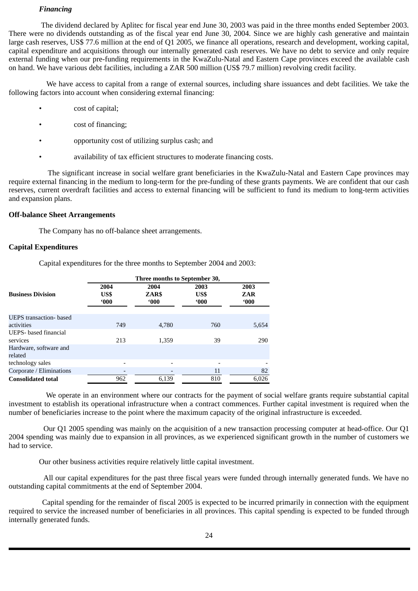#### *Financing*

The dividend declared by Aplitec for fiscal year end June 30, 2003 was paid in the three months ended September 2003. There were no dividends outstanding as of the fiscal year end June 30, 2004. Since we are highly cash generative and maintain large cash reserves, US\$ 77.6 million at the end of Q1 2005, we finance all operations, research and development, working capital, capital expenditure and acquisitions through our internally generated cash reserves. We have no debt to service and only require external funding when our pre-funding requirements in the KwaZulu-Natal and Eastern Cape provinces exceed the available cash on hand. We have various debt facilities, including a ZAR 500 million (US\$ 79.7 million) revolving credit facility.

We have access to capital from a range of external sources, including share issuances and debt facilities. We take the following factors into account when considering external financing:

- cost of capital;
- cost of financing;
- opportunity cost of utilizing surplus cash; and
- availability of tax efficient structures to moderate financing costs.

The significant increase in social welfare grant beneficiaries in the KwaZulu-Natal and Eastern Cape provinces may require external financing in the medium to long-term for the pre-funding of these grants payments. We are confident that our cash reserves, current overdraft facilities and access to external financing will be sufficient to fund its medium to long-term activities and expansion plans.

#### **Off-balance Sheet Arrangements**

The Company has no off-balance sheet arrangements.

#### **Capital Expenditures**

Capital expenditures for the three months to September 2004 and 2003:

|                                | Three months to September 30, |               |                          |               |  |  |  |
|--------------------------------|-------------------------------|---------------|--------------------------|---------------|--|--|--|
| <b>Business Division</b>       | 2004<br>US\$                  | 2004<br>ZAR\$ | 2003<br>US\$             | 2003<br>ZAR   |  |  |  |
|                                | 000                           | $000^{\circ}$ | $000^{\circ}$            | $000^{\circ}$ |  |  |  |
| <b>UEPS</b> transaction- based |                               |               |                          |               |  |  |  |
| activities                     | 749                           | 4.780         | 760                      | 5,654         |  |  |  |
| UEPS- based financial          |                               |               |                          |               |  |  |  |
| services                       | 213                           | 1,359         | 39                       | 290           |  |  |  |
| Hardware, software and         |                               |               |                          |               |  |  |  |
| related                        |                               |               |                          |               |  |  |  |
| technology sales               | $\overline{\phantom{0}}$      |               | $\overline{\phantom{0}}$ |               |  |  |  |
| Corporate / Eliminations       |                               |               | 11                       | 82            |  |  |  |
| <b>Consolidated total</b>      | 962                           | 6,139         | 810                      | 6.026         |  |  |  |
|                                |                               |               |                          |               |  |  |  |

We operate in an environment where our contracts for the payment of social welfare grants require substantial capital investment to establish its operational infrastructure when a contract commences. Further capital investment is required when the number of beneficiaries increase to the point where the maximum capacity of the original infrastructure is exceeded.

Our Q1 2005 spending was mainly on the acquisition of a new transaction processing computer at head-office. Our Q1 2004 spending was mainly due to expansion in all provinces, as we experienced significant growth in the number of customers we had to service.

Our other business activities require relatively little capital investment.

All our capital expenditures for the past three fiscal years were funded through internally generated funds. We have no outstanding capital commitments at the end of September 2004.

Capital spending for the remainder of fiscal 2005 is expected to be incurred primarily in connection with the equipment required to service the increased number of beneficiaries in all provinces. This capital spending is expected to be funded through internally generated funds.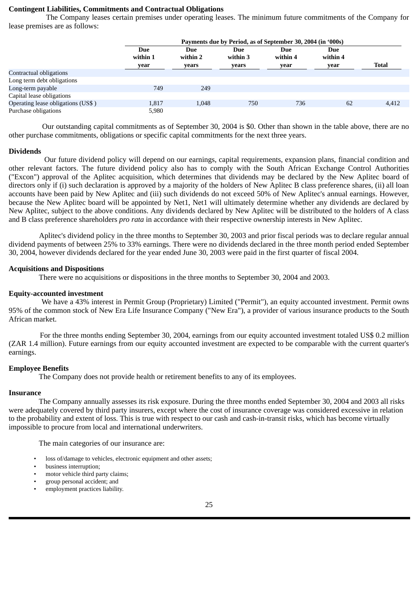#### **Contingent Liabilities, Commitments and Contractual Obligations**

The Company leases certain premises under operating leases. The minimum future commitments of the Company for lease premises are as follows:

|                                    | Payments due by Period, as of September 30, 2004 (in '000s) |                          |                          |                         |                         |              |
|------------------------------------|-------------------------------------------------------------|--------------------------|--------------------------|-------------------------|-------------------------|--------------|
|                                    | Due<br>within 1<br>year                                     | Due<br>within 2<br>years | Due<br>within 3<br>years | Due<br>within 4<br>year | Due<br>within 4<br>year | <b>Total</b> |
| Contractual obligations            |                                                             |                          |                          |                         |                         |              |
| Long term debt obligations         |                                                             |                          |                          |                         |                         |              |
| Long-term payable                  | 749                                                         | 249                      |                          |                         |                         |              |
| Capital lease obligations          |                                                             |                          |                          |                         |                         |              |
| Operating lease obligations (US\$) | 1,817                                                       | 1,048                    | 750                      | 736                     | 62                      | 4,412        |
| Purchase obligations               | 5,980                                                       |                          |                          |                         |                         |              |

Our outstanding capital commitments as of September 30, 2004 is \$0. Other than shown in the table above, there are no other purchase commitments, obligations or specific capital commitments for the next three years.

#### **Dividends**

Our future dividend policy will depend on our earnings, capital requirements, expansion plans, financial condition and other relevant factors. The future dividend policy also has to comply with the South African Exchange Control Authorities ("Excon") approval of the Aplitec acquisition, which determines that dividends may be declared by the New Aplitec board of directors only if (i) such declaration is approved by a majority of the holders of New Aplitec B class preference shares, (ii) all loan accounts have been paid by New Aplitec and (iii) such dividends do not exceed 50% of New Aplitec's annual earnings. However, because the New Aplitec board will be appointed by Net1, Net1 will ultimately determine whether any dividends are declared by New Aplitec, subject to the above conditions. Any dividends declared by New Aplitec will be distributed to the holders of A class and B class preference shareholders *pro rata* in accordance with their respective ownership interests in New Aplitec.

Aplitec's dividend policy in the three months to September 30, 2003 and prior fiscal periods was to declare regular annual dividend payments of between 25% to 33% earnings. There were no dividends declared in the three month period ended September 30, 2004, however dividends declared for the year ended June 30, 2003 were paid in the first quarter of fiscal 2004.

#### **Acquisitions and Dispositions**

There were no acquisitions or dispositions in the three months to September 30, 2004 and 2003.

#### **Equity-accounted investment**

We have a 43% interest in Permit Group (Proprietary) Limited ("Permit"), an equity accounted investment. Permit owns 95% of the common stock of New Era Life Insurance Company ("New Era"), a provider of various insurance products to the South African market.

For the three months ending September 30, 2004, earnings from our equity accounted investment totaled US\$ 0.2 million (ZAR 1.4 million). Future earnings from our equity accounted investment are expected to be comparable with the current quarter's earnings.

#### **Employee Benefits**

The Company does not provide health or retirement benefits to any of its employees.

#### **Insurance**

 The Company annually assesses its risk exposure. During the three months ended September 30, 2004 and 2003 all risks were adequately covered by third party insurers, except where the cost of insurance coverage was considered excessive in relation to the probability and extent of loss. This is true with respect to our cash and cash-in-transit risks, which has become virtually impossible to procure from local and international underwriters.

The main categories of our insurance are:

- loss of/damage to vehicles, electronic equipment and other assets;
- business interruption;
- motor vehicle third party claims;
- group personal accident; and
- employment practices liability.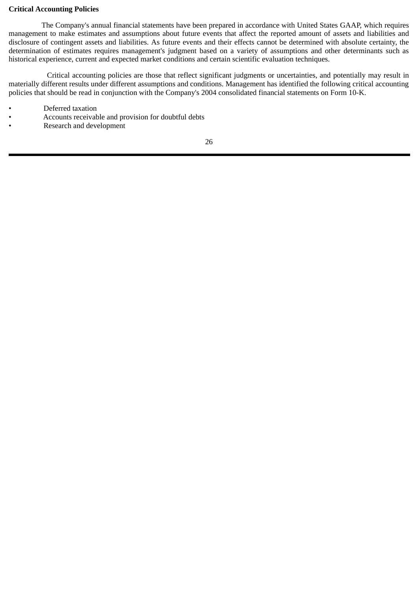## **Critical Accounting Policies**

The Company's annual financial statements have been prepared in accordance with United States GAAP, which requires management to make estimates and assumptions about future events that affect the reported amount of assets and liabilities and disclosure of contingent assets and liabilities. As future events and their effects cannot be determined with absolute certainty, the determination of estimates requires management's judgment based on a variety of assumptions and other determinants such as historical experience, current and expected market conditions and certain scientific evaluation techniques.

Critical accounting policies are those that reflect significant judgments or uncertainties, and potentially may result in materially different results under different assumptions and conditions. Management has identified the following critical accounting policies that should be read in conjunction with the Company's 2004 consolidated financial statements on Form 10-K.

- Deferred taxation
- Accounts receivable and provision for doubtful debts
- Research and development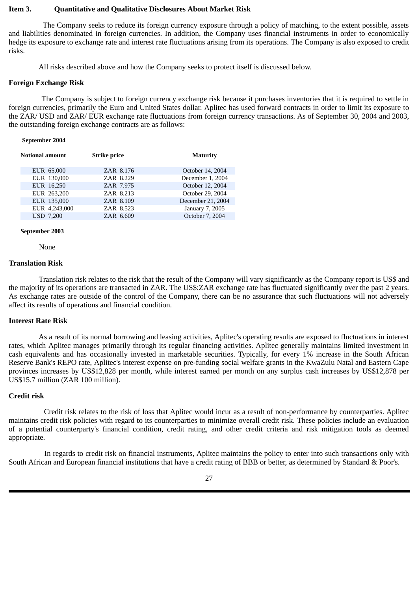#### <span id="page-28-0"></span>**Item 3. Quantitative and Qualitative Disclosures About Market Risk**

The Company seeks to reduce its foreign currency exposure through a policy of matching, to the extent possible, assets and liabilities denominated in foreign currencies. In addition, the Company uses financial instruments in order to economically hedge its exposure to exchange rate and interest rate fluctuations arising from its operations. The Company is also exposed to credit risks.

All risks described above and how the Company seeks to protect itself is discussed below.

#### **Foreign Exchange Risk**

The Company is subject to foreign currency exchange risk because it purchases inventories that it is required to settle in foreign currencies, primarily the Euro and United States dollar. Aplitec has used forward contracts in order to limit its exposure to the ZAR/ USD and ZAR/ EUR exchange rate fluctuations from foreign currency transactions. As of September 30, 2004 and 2003, the outstanding foreign exchange contracts are as follows:

#### **September 2004**

| <b>Notional amount</b> | <b>Strike price</b> | <b>Maturity</b>   |
|------------------------|---------------------|-------------------|
| EUR 65,000             | ZAR 8.176           | October 14, 2004  |
| EUR 130,000            | ZAR 8.229           | December 1, 2004  |
| EUR 16,250             | ZAR 7.975           | October 12, 2004  |
| EUR 263,200            | ZAR 8.213           | October 29, 2004  |
| EUR 135,000            | ZAR 8.109           | December 21, 2004 |
| EUR 4,243,000          | ZAR 8.523           | January 7, 2005   |
| <b>USD 7,200</b>       | ZAR 6.609           | October 7, 2004   |

#### **September 2003**

None

#### **Translation Risk**

 Translation risk relates to the risk that the result of the Company will vary significantly as the Company report is US\$ and the majority of its operations are transacted in ZAR. The US\$:ZAR exchange rate has fluctuated significantly over the past 2 years. As exchange rates are outside of the control of the Company, there can be no assurance that such fluctuations will not adversely affect its results of operations and financial condition.

#### **Interest Rate Risk**

 As a result of its normal borrowing and leasing activities, Aplitec's operating results are exposed to fluctuations in interest rates, which Aplitec manages primarily through its regular financing activities. Aplitec generally maintains limited investment in cash equivalents and has occasionally invested in marketable securities. Typically, for every 1% increase in the South African Reserve Bank's REPO rate, Aplitec's interest expense on pre-funding social welfare grants in the KwaZulu Natal and Eastern Cape provinces increases by US\$12,828 per month, while interest earned per month on any surplus cash increases by US\$12,878 per US\$15.7 million (ZAR 100 million).

#### **Credit risk**

Credit risk relates to the risk of loss that Aplitec would incur as a result of non-performance by counterparties. Aplitec maintains credit risk policies with regard to its counterparties to minimize overall credit risk. These policies include an evaluation of a potential counterparty's financial condition, credit rating, and other credit criteria and risk mitigation tools as deemed appropriate.

In regards to credit risk on financial instruments, Aplitec maintains the policy to enter into such transactions only with South African and European financial institutions that have a credit rating of BBB or better, as determined by Standard & Poor's.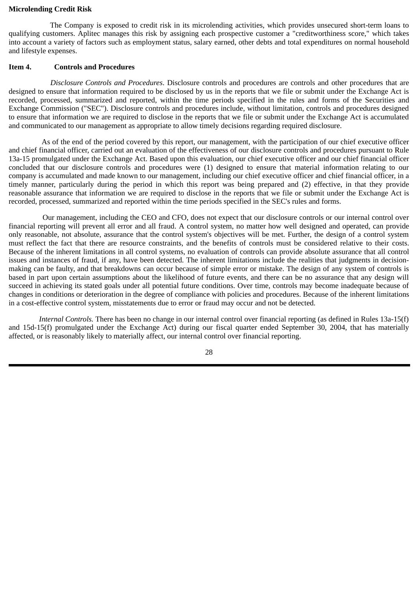#### <span id="page-29-0"></span>**Microlending Credit Risk**

The Company is exposed to credit risk in its microlending activities, which provides unsecured short-term loans to qualifying customers. Aplitec manages this risk by assigning each prospective customer a "creditworthiness score," which takes into account a variety of factors such as employment status, salary earned, other debts and total expenditures on normal household and lifestyle expenses.

#### **Item 4. Controls and Procedures**

*Disclosure Controls and Procedures*. Disclosure controls and procedures are controls and other procedures that are designed to ensure that information required to be disclosed by us in the reports that we file or submit under the Exchange Act is recorded, processed, summarized and reported, within the time periods specified in the rules and forms of the Securities and Exchange Commission ("SEC"). Disclosure controls and procedures include, without limitation, controls and procedures designed to ensure that information we are required to disclose in the reports that we file or submit under the Exchange Act is accumulated and communicated to our management as appropriate to allow timely decisions regarding required disclosure.

As of the end of the period covered by this report, our management, with the participation of our chief executive officer and chief financial officer, carried out an evaluation of the effectiveness of our disclosure controls and procedures pursuant to Rule 13a-15 promulgated under the Exchange Act. Based upon this evaluation, our chief executive officer and our chief financial officer concluded that our disclosure controls and procedures were (1) designed to ensure that material information relating to our company is accumulated and made known to our management, including our chief executive officer and chief financial officer, in a timely manner, particularly during the period in which this report was being prepared and (2) effective, in that they provide reasonable assurance that information we are required to disclose in the reports that we file or submit under the Exchange Act is recorded, processed, summarized and reported within the time periods specified in the SEC's rules and forms.

Our management, including the CEO and CFO, does not expect that our disclosure controls or our internal control over financial reporting will prevent all error and all fraud. A control system, no matter how well designed and operated, can provide only reasonable, not absolute, assurance that the control system's objectives will be met. Further, the design of a control system must reflect the fact that there are resource constraints, and the benefits of controls must be considered relative to their costs. Because of the inherent limitations in all control systems, no evaluation of controls can provide absolute assurance that all control issues and instances of fraud, if any, have been detected. The inherent limitations include the realities that judgments in decisionmaking can be faulty, and that breakdowns can occur because of simple error or mistake. The design of any system of controls is based in part upon certain assumptions about the likelihood of future events, and there can be no assurance that any design will succeed in achieving its stated goals under all potential future conditions. Over time, controls may become inadequate because of changes in conditions or deterioration in the degree of compliance with policies and procedures. Because of the inherent limitations in a cost-effective control system, misstatements due to error or fraud may occur and not be detected.

 *Internal Controls.* There has been no change in our internal control over financial reporting (as defined in Rules 13a-15(f) and 15d-15(f) promulgated under the Exchange Act) during our fiscal quarter ended September 30, 2004, that has materially affected, or is reasonably likely to materially affect, our internal control over financial reporting.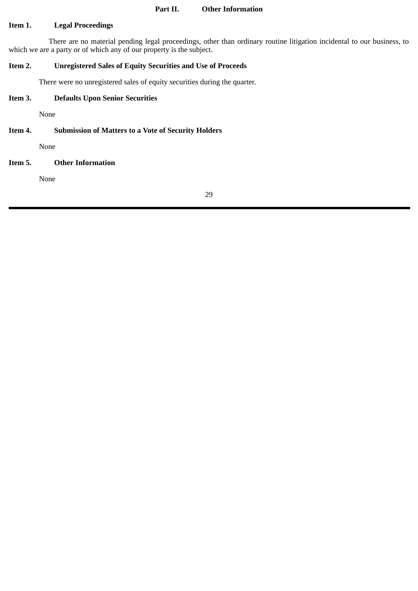#### **Part II. Other Information**

## <span id="page-30-0"></span>**Item 1. Legal Proceedings**

There are no material pending legal proceedings, other than ordinary routine litigation incidental to our business, to which we are a party or of which any of our property is the subject.

# **Item 2. Unregistered Sales of Equity Securities and Use of Proceeds**

There were no unregistered sales of equity securities during the quarter.

# **Item 3. Defaults Upon Senior Securities**

None

# **Item 4. Submission of Matters to a Vote of Security Holders**

None

# **Item 5. Other Information**

None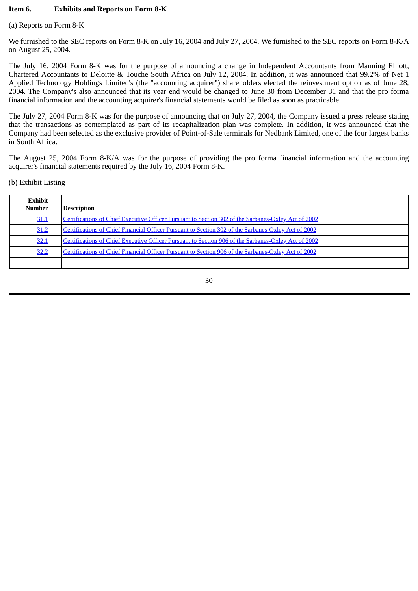## <span id="page-31-0"></span>**Item 6. Exhibits and Reports on Form 8-K**

#### (a) Reports on Form 8-K

We furnished to the SEC reports on Form 8-K on July 16, 2004 and July 27, 2004. We furnished to the SEC reports on Form 8-K/A on August 25, 2004.

The July 16, 2004 Form 8-K was for the purpose of announcing a change in Independent Accountants from Manning Elliott, Chartered Accountants to Deloitte & Touche South Africa on July 12, 2004. In addition, it was announced that 99.2% of Net 1 Applied Technology Holdings Limited's (the "accounting acquirer") shareholders elected the reinvestment option as of June 28, 2004. The Company's also announced that its year end would be changed to June 30 from December 31 and that the pro forma financial information and the accounting acquirer's financial statements would be filed as soon as practicable.

The July 27, 2004 Form 8-K was for the purpose of announcing that on July 27, 2004, the Company issued a press release stating that the transactions as contemplated as part of its recapitalization plan was complete. In addition, it was announced that the Company had been selected as the exclusive provider of Point-of-Sale terminals for Nedbank Limited, one of the four largest banks in South Africa.

The August 25, 2004 Form 8-K/A was for the purpose of providing the pro forma financial information and the accounting acquirer's financial statements required by the July 16, 2004 Form 8-K.

## (b) Exhibit Listing

| <b>Exhibit</b><br><b>Number</b> | <b>Description</b>                                                                                  |
|---------------------------------|-----------------------------------------------------------------------------------------------------|
| <u>31.1</u>                     | Certifications of Chief Executive Officer Pursuant to Section 302 of the Sarbanes-Oxley Act of 2002 |
| 31.2                            | Certifications of Chief Financial Officer Pursuant to Section 302 of the Sarbanes-Oxley Act of 2002 |
| <u>32.1</u>                     | Certifications of Chief Executive Officer Pursuant to Section 906 of the Sarbanes-Oxley Act of 2002 |
| <u>32.2</u>                     | Certifications of Chief Financial Officer Pursuant to Section 906 of the Sarbanes-Oxley Act of 2002 |
|                                 |                                                                                                     |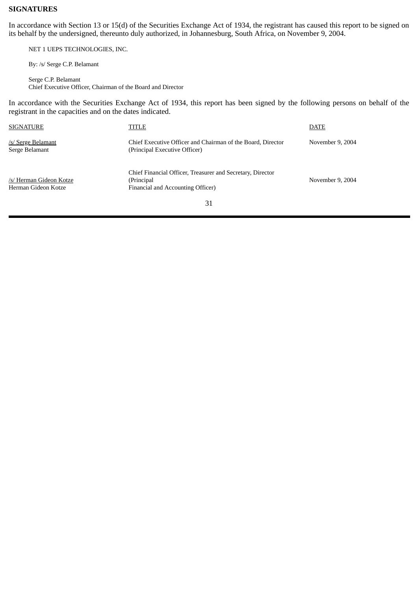## <span id="page-32-0"></span>**SIGNATURES**

In accordance with Section 13 or 15(d) of the Securities Exchange Act of 1934, the registrant has caused this report to be signed on its behalf by the undersigned, thereunto duly authorized, in Johannesburg, South Africa, on November 9, 2004.

NET 1 UEPS TECHNOLOGIES, INC.

By: /s/ Serge C.P. Belamant

Serge C.P. Belamant Chief Executive Officer, Chairman of the Board and Director

In accordance with the Securities Exchange Act of 1934, this report has been signed by the following persons on behalf of the registrant in the capacities and on the dates indicated.

| <b>SIGNATURE</b>                               | TITLE                                                                                                         | <b>DATE</b>      |
|------------------------------------------------|---------------------------------------------------------------------------------------------------------------|------------------|
| /s/ Serge Belamant<br>Serge Belamant           | Chief Executive Officer and Chairman of the Board, Director<br>(Principal Executive Officer)                  | November 9, 2004 |
| /s/ Herman Gideon Kotze<br>Herman Gideon Kotze | Chief Financial Officer, Treasurer and Secretary, Director<br>(Principal<br>Financial and Accounting Officer) | November 9, 2004 |
|                                                | $\mathbf{D}$                                                                                                  |                  |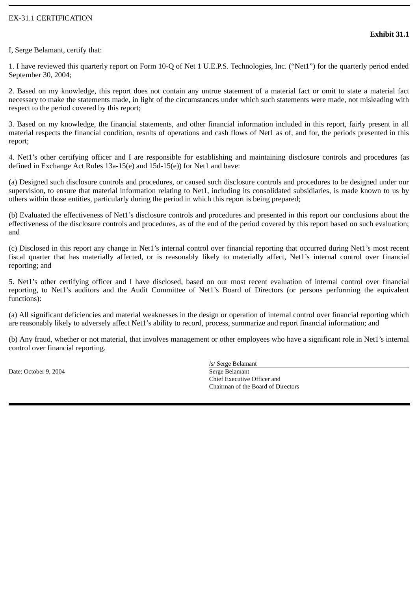# EX-31.1 CERTIFICATION

I, Serge Belamant, certify that:

1. I have reviewed this quarterly report on Form 10-Q of Net 1 U.E.P.S. Technologies, Inc. ("Net1") for the quarterly period ended September 30, 2004;

2. Based on my knowledge, this report does not contain any untrue statement of a material fact or omit to state a material fact necessary to make the statements made, in light of the circumstances under which such statements were made, not misleading with respect to the period covered by this report;

3. Based on my knowledge, the financial statements, and other financial information included in this report, fairly present in all material respects the financial condition, results of operations and cash flows of Net1 as of, and for, the periods presented in this report;

4. Net1's other certifying officer and I are responsible for establishing and maintaining disclosure controls and procedures (as defined in Exchange Act Rules 13a-15(e) and 15d-15(e)) for Net1 and have:

(a) Designed such disclosure controls and procedures, or caused such disclosure controls and procedures to be designed under our supervision, to ensure that material information relating to Net1, including its consolidated subsidiaries, is made known to us by others within those entities, particularly during the period in which this report is being prepared;

(b) Evaluated the effectiveness of Net1's disclosure controls and procedures and presented in this report our conclusions about the effectiveness of the disclosure controls and procedures, as of the end of the period covered by this report based on such evaluation; and

(c) Disclosed in this report any change in Net1's internal control over financial reporting that occurred during Net1's most recent fiscal quarter that has materially affected, or is reasonably likely to materially affect, Net1's internal control over financial reporting; and

5. Net1's other certifying officer and I have disclosed, based on our most recent evaluation of internal control over financial reporting, to Net1's auditors and the Audit Committee of Net1's Board of Directors (or persons performing the equivalent functions):

(a) All significant deficiencies and material weaknesses in the design or operation of internal control over financial reporting which are reasonably likely to adversely affect Net1's ability to record, process, summarize and report financial information; and

(b) Any fraud, whether or not material, that involves management or other employees who have a significant role in Net1's internal control over financial reporting.

Date: October 9, 2004 Serge Belamant

/s/ Serge Belamant Chief Executive Officer and Chairman of the Board of Directors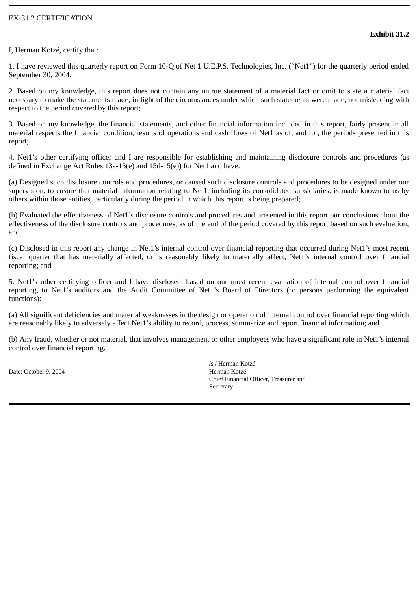# EX-31.2 CERTIFICATION

I, Herman Kotzé, certify that:

1. I have reviewed this quarterly report on Form 10-Q of Net 1 U.E.P.S. Technologies, Inc. ("Net1") for the quarterly period ended September 30, 2004;

2. Based on my knowledge, this report does not contain any untrue statement of a material fact or omit to state a material fact necessary to make the statements made, in light of the circumstances under which such statements were made, not misleading with respect to the period covered by this report;

3. Based on my knowledge, the financial statements, and other financial information included in this report, fairly present in all material respects the financial condition, results of operations and cash flows of Net1 as of, and for, the periods presented in this report;

4. Net1's other certifying officer and I are responsible for establishing and maintaining disclosure controls and procedures (as defined in Exchange Act Rules 13a-15(e) and 15d-15(e)) for Net1 and have:

(a) Designed such disclosure controls and procedures, or caused such disclosure controls and procedures to be designed under our supervision, to ensure that material information relating to Net1, including its consolidated subsidiaries, is made known to us by others within those entities, particularly during the period in which this report is being prepared;

(b) Evaluated the effectiveness of Net1's disclosure controls and procedures and presented in this report our conclusions about the effectiveness of the disclosure controls and procedures, as of the end of the period covered by this report based on such evaluation; and

(c) Disclosed in this report any change in Net1's internal control over financial reporting that occurred during Net1's most recent fiscal quarter that has materially affected, or is reasonably likely to materially affect, Net1's internal control over financial reporting; and

5. Net1's other certifying officer and I have disclosed, based on our most recent evaluation of internal control over financial reporting, to Net1's auditors and the Audit Committee of Net1's Board of Directors (or persons performing the equivalent functions):

(a) All significant deficiencies and material weaknesses in the design or operation of internal control over financial reporting which are reasonably likely to adversely affect Net1's ability to record, process, summarize and report financial information; and

(b) Any fraud, whether or not material, that involves management or other employees who have a significant role in Net1's internal control over financial reporting.

Date: October 9, 2004 **Herman Kotzé** 

/s / Herman Kotzé Chief Financial Officer, Treasurer and **Secretary**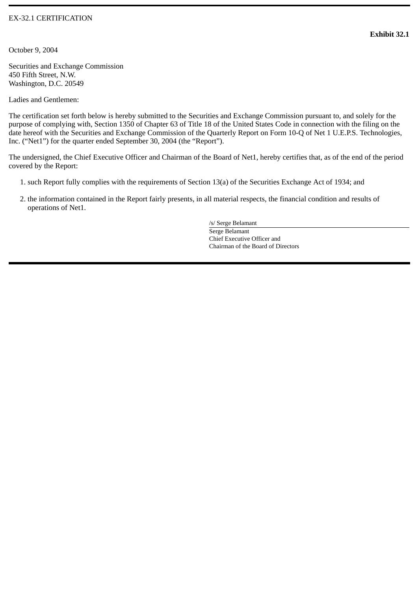# EX-32.1 CERTIFICATION

October 9, 2004

Securities and Exchange Commission 450 Fifth Street, N.W. Washington, D.C. 20549

Ladies and Gentlemen:

The certification set forth below is hereby submitted to the Securities and Exchange Commission pursuant to, and solely for the purpose of complying with, Section 1350 of Chapter 63 of Title 18 of the United States Code in connection with the filing on the date hereof with the Securities and Exchange Commission of the Quarterly Report on Form 10-Q of Net 1 U.E.P.S. Technologies, Inc. ("Net1") for the quarter ended September 30, 2004 (the "Report").

The undersigned, the Chief Executive Officer and Chairman of the Board of Net1, hereby certifies that, as of the end of the period covered by the Report:

- 1. such Report fully complies with the requirements of Section 13(a) of the Securities Exchange Act of 1934; and
- 2. the information contained in the Report fairly presents, in all material respects, the financial condition and results of operations of Net1.

/s/ Serge Belamant Serge Belamant Chief Executive Officer and Chairman of the Board of Directors